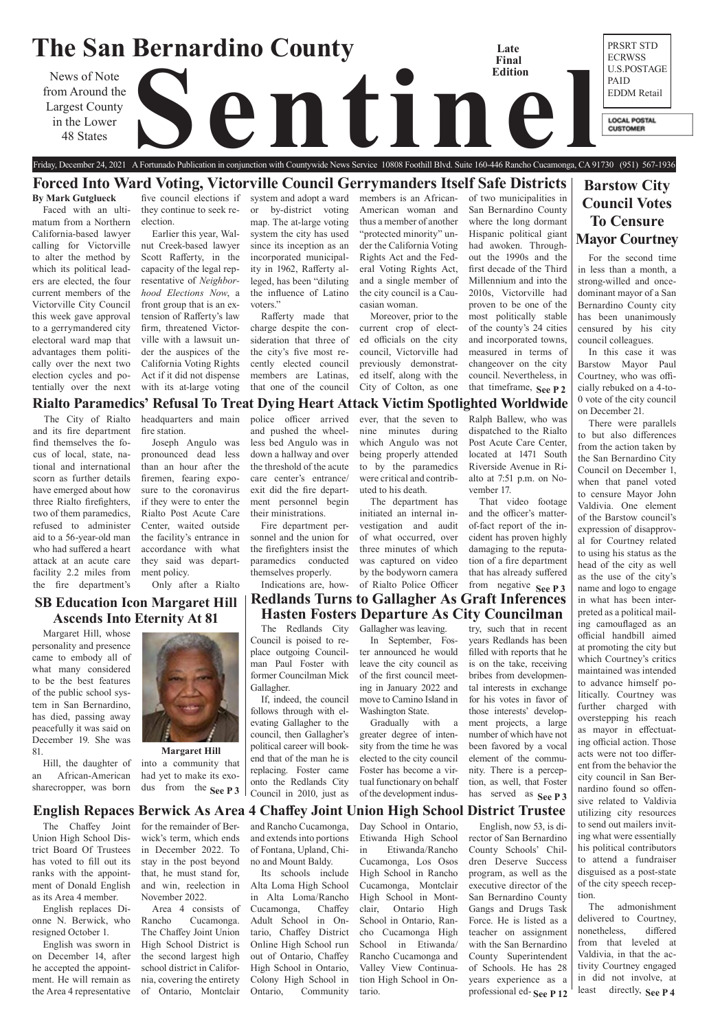### **The San Bernardino County** PRSRT STD **Late**  ECRWSS **Final**  U.S.POSTAGE **Edition** News of Note<br>rom Around the<br>in the Lower<br>48 States PAID from Around the EDDM Retail Largest County in the Lower **LOCAL POSTAL CUSTOMER** 48 States

# **Barstow City Council Votes To Censure Mayor Courtney**



**Margaret Hill** into a community that had yet to make its exodus from the See P 3

# **SB Education Icon Margaret Hill Ascends Into Eternity At 81**

# Friday, December 24, 2021 A Fortunado Publication in conjunction with Countywide News Service 10808 Foothill Blvd. Suite 160-446 Rancho Cucamonga, CA 91730 (951) 567-1936 **Forced Into Ward Voting, Victorville Council Gerrymanders Itself Safe Districts**

**Rialto Paramedics' Refusal To Treat Dying Heart Attack Victim Spotlighted Worldwide**

# **English Repaces Berwick As Area 4 Chaffey Joint Union High School District Trustee**

### **By Mark Gutglueck**

Faced with an ultimatum from a Northern California-based lawyer calling for Victorville to alter the method by which its political leaders are elected, the four current members of the Victorville City Council this week gave approval to a gerrymandered city electoral ward map that advantages them politically over the next two election cycles and potentially over the next

five council elections if they continue to seek reelection.

that timeframe, See P 2 of two municipalities in San Bernardino County where the long dormant Hispanic political giant had awoken. Throughout the 1990s and the first decade of the Third Millennium and into the 2010s, Victorville had proven to be one of the most politically stable of the county's 24 cities and incorporated towns, measured in terms of changeover on the city council. Nevertheless, in

Earlier this year, Walnut Creek-based lawyer Scott Rafferty, in the capacity of the legal representative of *Neighborhood Elections Now*, a front group that is an extension of Rafferty's law firm, threatened Victorville with a lawsuit under the auspices of the California Voting Rights Act if it did not dispense with its at-large voting system and adopt a ward or by-district voting map. The at-large voting system the city has used since its inception as an incorporated municipality in 1962, Rafferty alleged, has been "diluting the influence of Latino voters."

Rafferty made that charge despite the consideration that three of the city's five most recently elected council members are Latinas, that one of the council

members is an African-American woman and thus a member of another "protected minority" under the California Voting Rights Act and the Federal Voting Rights Act, and a single member of the city council is a Caucasian woman.

> least directly, **See P4** There were parallels to but also differences from the action taken by the San Bernardino City Council on December 1, when that panel voted to censure Mayor John Valdivia. One element of the Barstow council's expression of disapproval for Courtney related to using his status as the head of the city as well as the use of the city's name and logo to engage in what has been interpreted as a political mailing camouflaged as an official handbill aimed at promoting the city but which Courtney's critics maintained was intended to advance himself politically. Courtney was further charged with overstepping his reach as mayor in effectuating official action. Those acts were not too different from the behavior the city council in San Bernardino found so offensive related to Valdivia utilizing city resources to send out mailers inviting what were essentially his political contributors to attend a fundraiser disguised as a post-state of the city speech reception. The admonishment delivered to Courtney, nonetheless, differed from that leveled at Valdivia, in that the activity Courtney engaged in did not involve, at

Moreover, prior to the current crop of elected officials on the city council, Victorville had previously demonstrated itself, along with the City of Colton, as one

For the second time in less than a month, a strong-willed and oncedominant mayor of a San Bernardino County city has been unanimously censured by his city council colleagues.

In this case it was Barstow Mayor Paul Courtney, who was officially rebuked on a 4-to-0 vote of the city council on December 21.

**See P 3**  $\vert$  Council in 2010, just as of the development indus- has served as **See P 3** If, indeed, the council follows through with elevating Gallagher to the council, then Gallagher's political career will bookend that of the man he is replacing. Foster came onto the Redlands City Council in 2010, just as

> professional ed- See P 12 English, now 53, is director of San Bernardino County Schools' Children Deserve Success program, as well as the executive director of the San Bernardino County Gangs and Drugs Task Force. He is listed as a teacher on assignment with the San Bernardino County Superintendent of Schools. He has 28 years experience as a

The City of Rialto and its fire department find themselves the focus of local, state, national and international scorn as further details have emerged about how three Rialto firefighters, two of them paramedics, refused to administer aid to a 56-year-old man who had suffered a heart attack at an acute care facility 2.2 miles from the fire department's

from negative **See P3 Redlands Turns to Gallagher As Graft Inferences Hasten Fosters Departure As City Councilman**

headquarters and main fire station.

Joseph Angulo was pronounced dead less than an hour after the firemen, fearing exposure to the coronavirus if they were to enter the Rialto Post Acute Care Center, waited outside the facility's entrance in accordance with what they said was department policy.

Only after a Rialto

police officer arrived and pushed the wheelless bed Angulo was in down a hallway and over the threshold of the acute care center's entrance/ exit did the fire department personnel begin their ministrations.

Fire department personnel and the union for the firefighters insist the paramedics conducted themselves properly.

Indications are, how-

ever, that the seven to nine minutes during which Angulo was not being properly attended

of what occurred, over three minutes of which was captured on video by the bodyworn camera of Rialto Police Officer

to by the paramedics were critical and contributed to his death. The department has initiated an internal investigation and audit Riverside Avenue in Rialto at 7:51 p.m. on November 17. and the officer's matterof-fact report of the in-

Ralph Ballew, who was dispatched to the Rialto Post Acute Care Center, located at 1471 South

That video footage

cident has proven highly damaging to the reputation of a fire department that has already suffered

Margaret Hill, whose personality and presence came to embody all of what many considered to be the best features of the public school system in San Bernardino, has died, passing away peacefully it was said on December 19. She was 81.

Hill, the daughter of an African-American sharecropper, was born

The Redlands City Council is poised to replace outgoing Councilman Paul Foster with former Councilman Mick Gallagher.

The Chaffey Joint Union High School District Board Of Trustees has voted to fill out its ranks with the appointment of Donald English as its Area 4 member.

English replaces Dionne N. Berwick, who resigned October 1.

English was sworn in on December 14, after he accepted the appointment. He will remain as the Area 4 representative

for the remainder of Berwick's term, which ends in December 2022. To stay in the post beyond that, he must stand for, and win, reelection in November 2022.

Area 4 consists of Rancho Cucamonga. The Chaffey Joint Union High School District is the second largest high school district in California, covering the entirety of Ontario, Montclair

and Rancho Cucamonga, and extends into portions of Fontana, Upland, Chino and Mount Baldy. Its schools include Alta Loma High School in Alta Loma/Rancho Cucamonga, Chaffey Adult School in Ontario, Chaffey District Online High School run out of Ontario, Chaffey High School in Ontario, Colony High School in Ontario, Community

Day School in Ontario, Etiwanda High School in Etiwanda/Rancho Cucamonga, Los Osos High School in Rancho Cucamonga, Montclair High School in Montclair, Ontario High School in Ontario, Rancho Cucamonga High School in Etiwanda/ Rancho Cucamonga and Valley View Continuation High School in Ontario.

Gallagher was leaving.

In September, Foster announced he would leave the city council as of the first council meeting in January 2022 and move to Camino Island in Washington State.

Gradually with a greater degree of intensity from the time he was elected to the city council Foster has become a virtual functionary on behalf of the development industry, such that in recent years Redlands has been filled with reports that he is on the take, receiving bribes from developmental interests in exchange for his votes in favor of those interests' development projects, a large number of which have not been favored by a vocal element of the community. There is a perception, as well, that Foster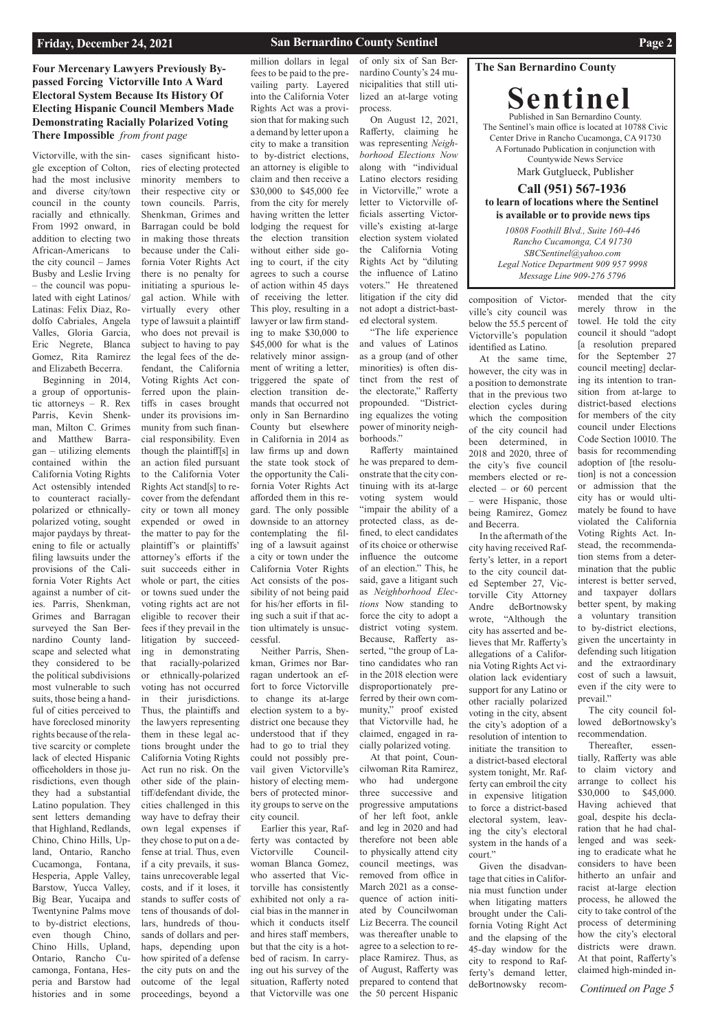### **The San Bernardino County**

**Sentinel** Published in San Bernardino County. The Sentinel's main office is located at 10788 Civic Center Drive in Rancho Cucamonga, CA 91730 A Fortunado Publication in conjunction with Countywide News Service Mark Gutglueck, Publisher

### **Call (951) 567-1936 to learn of locations where the Sentinel is available or to provide news tips**

**Four Mercenary Lawyers Previously Bypassed Forcing Victorville Into A Ward Electoral System Because Its History Of Electing Hispanic Council Members Made Demonstrating Racially Polarized Voting There Impossible** *from front page*

*Continued on Page 5*

*10808 Foothill Blvd., Suite 160-446 Rancho Cucamonga, CA 91730 SBCSentinel@yahoo.com Legal Notice Department 909 957 9998 Message Line 909-276 5796*

Victorville, with the single exception of Colton, had the most inclusive and diverse city/town council in the county racially and ethnically. From 1992 onward, in addition to electing two African-Americans to the city council – James Busby and Leslie Irving – the council was populated with eight Latinos/ Latinas: Felix Diaz, Rodolfo Cabriales, Angela Valles, Gloria Garcia, Eric Negrete, Blanca Gomez, Rita Ramirez and Elizabeth Becerra.

Beginning in 2014, a group of opportunistic attorneys – R. Rex Parris, Kevin Shenkman, Milton C. Grimes and Matthew Barragan – utilizing elements contained within the California Voting Rights Act ostensibly intended to counteract raciallypolarized or ethnicallypolarized voting, sought major paydays by threatening to file or actually filing lawsuits under the provisions of the California Voter Rights Act against a number of cities. Parris, Shenkman, Grimes and Barragan surveyed the San Bernardino County landscape and selected what they considered to be the political subdivisions most vulnerable to such suits, those being a handful of cities perceived to have foreclosed minority rights because of the relative scarcity or complete lack of elected Hispanic officeholders in those jurisdictions, even though they had a substantial Latino population. They sent letters demanding that Highland, Redlands, Chino, Chino Hills, Upland, Ontario, Rancho Cucamonga, Fontana, Hesperia, Apple Valley, Barstow, Yucca Valley, Big Bear, Yucaipa and Twentynine Palms move to by-district elections, even though Chino, Chino Hills, Upland, Ontario, Rancho Cucamonga, Fontana, Hesperia and Barstow had histories and in some

cases significant histories of electing protected minority members to their respective city or town councils. Parris, Shenkman, Grimes and Barragan could be bold in making those threats because under the California Voter Rights Act there is no penalty for initiating a spurious legal action. While with virtually every other type of lawsuit a plaintiff who does not prevail is subject to having to pay the legal fees of the defendant, the California Voting Rights Act conferred upon the plaintiffs in cases brought under its provisions immunity from such financial responsibility. Even though the plaintiff[s] in an action filed pursuant to the California Voter Rights Act stand[s] to recover from the defendant city or town all money expended or owed in the matter to pay for the plaintiff's or plaintiffs' attorney's efforts if the suit succeeds either in whole or part, the cities or towns sued under the voting rights act are not eligible to recover their fees if they prevail in the litigation by succeeding in demonstrating that racially-polarized or ethnically-polarized voting has not occurred in their jurisdictions. Thus, the plaintiffs and the lawyers representing them in these legal actions brought under the California Voting Rights Act run no risk. On the other side of the plaintiff/defendant divide, the cities challenged in this way have to defray their own legal expenses if they chose to put on a defense at trial. Thus, even if a city prevails, it sustains unrecoverable legal costs, and if it loses, it stands to suffer costs of tens of thousands of dollars, hundreds of thousands of dollars and perhaps, depending upon how spirited of a defense the city puts on and the outcome of the legal proceedings, beyond a

### **San Bernardino County Sentinel <b>Page 2 Page 2**

mended that the city merely throw in the towel. He told the city council it should "adopt [a resolution prepared for the September 27 council meeting] declaring its intention to transition from at-large to district-based elections for members of the city council under Elections Code Section 10010. The basis for recommending adoption of [the resolution] is not a concession or admission that the city has or would ultimately be found to have violated the California Voting Rights Act. Instead, the recommendation stems from a determination that the public interest is better served, and taxpayer dollars better spent, by making a voluntary transition to by-district elections, given the uncertainty in defending such litigation and the extraordinary cost of such a lawsuit, even if the city were to prevail."

million dollars in legal fees to be paid to the prevailing party. Layered into the California Voter Rights Act was a provision that for making such a demand by letter upon a city to make a transition to by-district elections, an attorney is eligible to claim and then receive a \$30,000 to \$45,000 fee from the city for merely having written the letter lodging the request for the election transition without either side going to court, if the city agrees to such a course of action within 45 days of receiving the letter. This ploy, resulting in a lawyer or law firm standing to make \$30,000 to \$45,000 for what is the relatively minor assignment of writing a letter, triggered the spate of election transition demands that occurred not only in San Bernardino County but elsewhere in California in 2014 as law firms up and down the state took stock of the opportunity the California Voter Rights Act afforded them in this regard. The only possible downside to an attorney contemplating the filing of a lawsuit against a city or town under the California Voter Rights Act consists of the possibility of not being paid for his/her efforts in filing such a suit if that action ultimately is unsuccessful. Neither Parris, Shen-

kman, Grimes nor Barragan undertook an effort to force Victorville to change its at-large election system to a bydistrict one because they understood that if they had to go to trial they could not possibly prevail given Victorville's history of electing members of protected minor-

ity groups to serve on the city council.

Earlier this year, Rafferty was contacted by Victorville Councilwoman Blanca Gomez, who asserted that Victorville has consistently exhibited not only a racial bias in the manner in which it conducts itself and hires staff members, but that the city is a hotbed of racism. In carrying out his survey of the situation, Rafferty noted that Victorville was one

of only six of San Bernardino County's 24 municipalities that still utilized an at-large voting process.

On August 12, 2021, Rafferty, claiming he was representing *Neighborhood Elections Now* along with "individual Latino electors residing in Victorville," wrote a letter to Victorville officials asserting Victorville's existing at-large election system violated the California Voting Rights Act by "diluting the influence of Latino voters." He threatened litigation if the city did not adopt a district-basted electoral system.

"The life experience and values of Latinos as a group (and of other minorities) is often distinct from the rest of the electorate," Rafferty propounded. "Districting equalizes the voting power of minority neighborhoods."

Rafferty maintained he was prepared to demonstrate that the city continuing with its at-large voting system would "impair the ability of a protected class, as defined, to elect candidates of its choice or otherwise influence the outcome of an election." This, he said, gave a litigant such as *Neighborhood Elections* Now standing to force the city to adopt a district voting system. Because, Rafferty asserted, "the group of Latino candidates who ran in the 2018 election were disproportionately preferred by their own community," proof existed that Victorville had, he claimed, engaged in racially polarized voting.

composition of Victorville's city council was below the 55.5 percent of Victorville's population identified as Latino.

At the same time, however, the city was in a position to demonstrate that in the previous two election cycles during which the composition of the city council had been determined, in 2018 and 2020, three of the city's five council members elected or reelected – or 60 percent – were Hispanic, those being Ramirez, Gomez and Becerra.

At that point, Councilwoman Rita Ramirez, who had undergone three successive and progressive amputations of her left foot, ankle and leg in 2020 and had therefore not been able to physically attend city council meetings, was removed from office in March 2021 as a conseelectoral system, leaving the city's electoral system in the hands of a

quence of action initiated by Councilwoman Liz Becerra. The council was thereafter unable to agree to a selection to replace Ramirez. Thus, as of August, Rafferty was prepared to contend that the 50 percent Hispanic court." Given the disadvantage that cities in California must function under when litigating matters brought under the California Voting Right Act and the elapsing of the 45-day window for the city to respond to Rafferty's demand letter, deBortnowsky recom-

In the aftermath of the city having received Rafferty's letter, in a report to the city council dated September 27, Victorville City Attorney Andre deBortnowsky wrote, "Although the city has asserted and believes that Mr. Rafferty's allegations of a California Voting Rights Act violation lack evidentiary support for any Latino or other racially polarized voting in the city, absent the city's adoption of a resolution of intention to initiate the transition to a district-based electoral system tonight, Mr. Rafferty can embroil the city in expensive litigation to force a district-based

The city council followed deBortnowsky's recommendation.

Thereafter, essentially, Rafferty was able to claim victory and arrange to collect his \$30,000 to \$45,000. Having achieved that goal, despite his declaration that he had challenged and was seeking to eradicate what he considers to have been hitherto an unfair and racist at-large election process, he allowed the city to take control of the process of determining how the city's electoral districts were drawn. At that point, Rafferty's claimed high-minded in-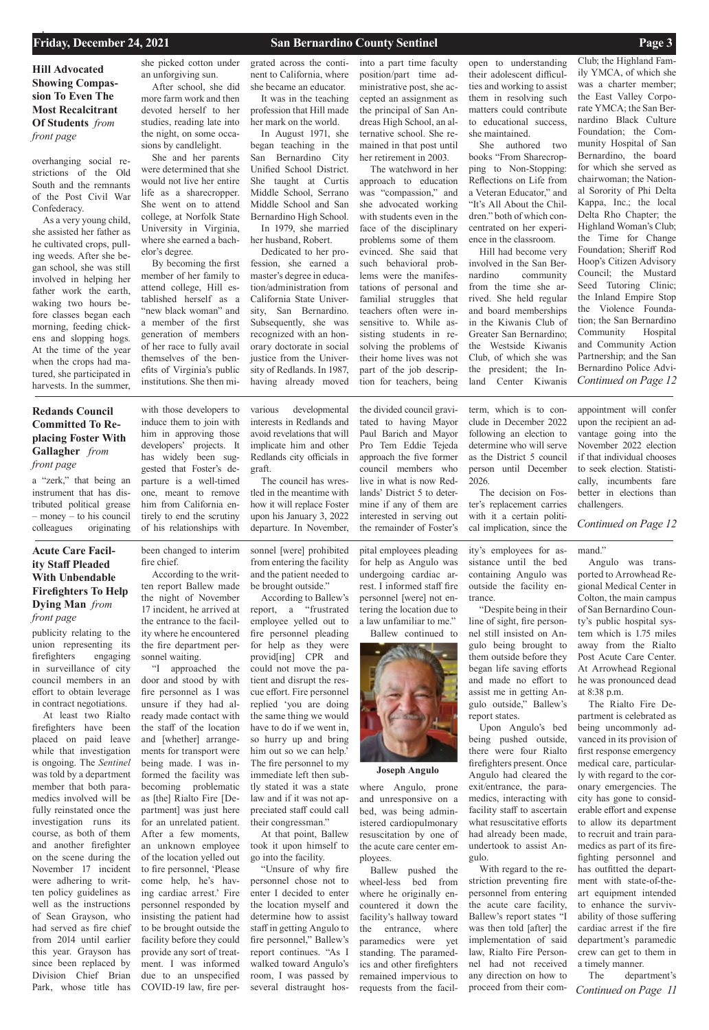

**Joseph Angulo**

**Hill Advocated Showing Compassion To Even The Most Recalcitrant Of Students** *from front page*

publicity relating to the union representing its firefighters engaging in surveillance of city council members in an effort to obtain leverage in contract negotiations.

At least two Rialto firefighters have been placed on paid leave while that investigation is ongoing. The *Sentinel* was told by a department member that both paramedics involved will be

fully reinstated once the investigation runs its course, as both of them and another firefighter on the scene during the November 17 incident were adhering to written policy guidelines as well as the instructions of Sean Grayson, who had served as fire chief from 2014 until earlier this year. Grayson has since been replaced by Division Chief Brian Park, whose title has

been changed to interim fire chief.

According to the written report Ballew made the night of November 17 incident, he arrived at the entrance to the facility where he encountered the fire department personnel waiting.

"I approached the door and stood by with fire personnel as I was unsure if they had already made contact with the staff of the location and [whether] arrangements for transport were being made. I was informed the facility was becoming problematic as [the] Rialto Fire [Department] was just here for an unrelated patient. After a few moments, an unknown employee of the location yelled out to fire personnel, 'Please come help, he's having cardiac arrest.' Fire personnel responded by insisting the patient had to be brought outside the facility before they could provide any sort of treatment. I was informed due to an unspecified COVID-19 law, fire per-

sonnel [were] prohibited from entering the facility and the patient needed to be brought outside."

According to Ballew's report, a "frustrated employee yelled out to fire personnel pleading for help as they were provid[ing] CPR and could not move the patient and disrupt the rescue effort. Fire personnel replied 'you are doing the same thing we would have to do if we went in, so hurry up and bring him out so we can help.' The fire personnel to my immediate left then subtly stated it was a state law and if it was not ap-

> *Continued on Page 11* The department's

preciated staff could call their congressman." At that point, Ballew

took it upon himself to go into the facility.

"Unsure of why fire personnel chose not to enter I decided to enter the location myself and determine how to assist staff in getting Angulo to fire personnel," Ballew's report continues. "As I walked toward Angulo's room, I was passed by several distraught hos-

pital employees pleading for help as Angulo was undergoing cardiac arrest. I informed staff fire personnel [were] not entering the location due to a law unfamiliar to me."

Ballew continued to

containing Angulo was outside the facility entrance.

"Despite being in their report states.

line of sight, fire personnel still insisted on Angulo being brought to them outside before they began life saving efforts and made no effort to assist me in getting Angulo outside," Ballew's

being pushed outside, there were four Rialto firefighters present. Once Angulo had cleared the exit/entrance, the paramedics, interacting with facility staff to ascertain what resuscitative efforts had already been made, undertook to assist Angulo.

Upon Angulo's bed With regard to the re-

mand."

Angulo was transported to Arrowhead Regional Medical Center in Colton, the main campus of San Bernardino County's public hospital system which is 1.75 miles away from the Rialto Post Acute Care Center. At Arrowhead Regional he was pronounced dead at 8:38 p.m.

The Rialto Fire Department is celebrated as being uncommonly advanced in its provision of first response emergency medical care, particularly with regard to the coronary emergencies. The city has gone to consid-

*Continued on Page 12* Club; the Highland Family YMCA, of which she was a charter member; the East Valley Corporate YMCA; the San Bernardino Black Culture Foundation; the Community Hospital of San Bernardino, the board for which she served as chairwoman; the National Sorority of Phi Delta Kappa, Inc.; the local Delta Rho Chapter; the Highland Woman's Club; the Time for Change Foundation; Sheriff Rod Hoop's Citizen Advisory Council; the Mustard Seed Tutoring Clinic; the Inland Empire Stop the Violence Foundation; the San Bernardino Community Hospital and Community Action Partnership; and the San Bernardino Police Advi-

erable effort and expense to allow its department to recruit and train paramedics as part of its firefighting personnel and has outfitted the department with state-of-theart equipment intended to enhance the survivability of those suffering cardiac arrest if the fire department's paramedic crew can get to them in a timely manner.

overhanging social restrictions of the Old South and the remnants of the Post Civil War Confederacy.

As a very young child, she assisted her father as he cultivated crops, pulling weeds. After she began school, she was still involved in helping her father work the earth, waking two hours before classes began each morning, feeding chickens and slopping hogs. At the time of the year when the crops had matured, she participated in harvests. In the summer,

she picked cotton under an unforgiving sun.

After school, she did more farm work and then devoted herself to her studies, reading late into the night, on some occasions by candlelight.

She and her parents were determined that she would not live her entire life as a sharecropper. She went on to attend college, at Norfolk State University in Virginia, where she earned a bachelor's degree.

By becoming the first member of her family to attend college, Hill established herself as a "new black woman" and a member of the first generation of members of her race to fully avail themselves of the benefits of Virginia's public institutions. She then mi-

grated across the continent to California, where she became an educator.

It was in the teaching profession that Hill made her mark on the world.

In August 1971, she began teaching in the San Bernardino City Unified School District. She taught at Curtis Middle School, Serrano Middle School and San Bernardino High School. In 1979, she married

her husband, Robert.

striction preventing fire personnel from entering the acute care facility, Ballew's report states "I was then told [after] the implementation of said law, Rialto Fire Personnel had not received any direction on how to proceed from their com-Ballew pushed the wheel-less bed from where he originally encountered it down the facility's hallway toward the entrance, where paramedics were yet standing. The paramedics and other firefighters remained impervious to requests from the facil-

Dedicated to her profession, she earned a master's degree in education/administration from California State University, San Bernardino. Subsequently, she was recognized with an honorary doctorate in social justice from the University of Redlands. In 1987, having already moved

> ity's employees for assistance until the bed cal implication, since the

into a part time faculty position/part time administrative post, she accepted an assignment as the principal of San Andreas High School, an alternative school. She remained in that post until her retirement in 2003.

The watchword in her approach to education was "compassion," and she advocated working with students even in the face of the disciplinary problems some of them evinced. She said that such behavioral problems were the manifestations of personal and familial struggles that teachers often were insensitive to. While assisting students in resolving the problems of their home lives was not part of the job description for teachers, being

open to understanding their adolescent difficulties and working to assist them in resolving such matters could contribute to educational success, she maintained.

She authored two books "From Sharecropping to Non-Stopping: Reflections on Life from a Veteran Educator," and "It's All About the Children." both of which concentrated on her experience in the classroom.

Hill had become very involved in the San Bernardino community from the time she arrived. She held regular and board memberships in the Kiwanis Club of Greater San Bernardino; the Westside Kiwanis Club, of which she was the president; the Inland Center Kiwanis

where Angulo, prone and unresponsive on a

bed, was being administered cardiopulmonary resuscitation by one of the acute care center employees.

### **Acute Care Facility Staff Pleaded With Unbendable Firefighters To Help Dying Man** *from front page*

a "zerk," that being an instrument that has distributed political grease – money – to his council colleagues originating

with those developers to induce them to join with him in approving those developers' projects. It has widely been suggested that Foster's departure is a well-timed one, meant to remove him from California entirely to end the scrutiny of his relationships with

various developmental interests in Redlands and avoid revelations that will implicate him and other Redlands city officials in

graft.

The council has wrestled in the meantime with how it will replace Foster upon his January 3, 2022 departure. In November, the divided council gravitated to having Mayor Paul Barich and Mayor Pro Tem Eddie Tejeda approach the five former council members who live in what is now Redlands' District 5 to determine if any of them are 2026.

interested in serving out the remainder of Foster's term, which is to conclude in December 2022 following an election to determine who will serve as the District 5 council person until December

The decision on Foster's replacement carries with it a certain politi-

appointment will confer upon the recipient an advantage going into the November 2022 election if that individual chooses to seek election. Statistically, incumbents fare better in elections than challengers.

### **Redands Council Committed To Replacing Foster With Gallagher** *from front page*

*Continued on Page 12*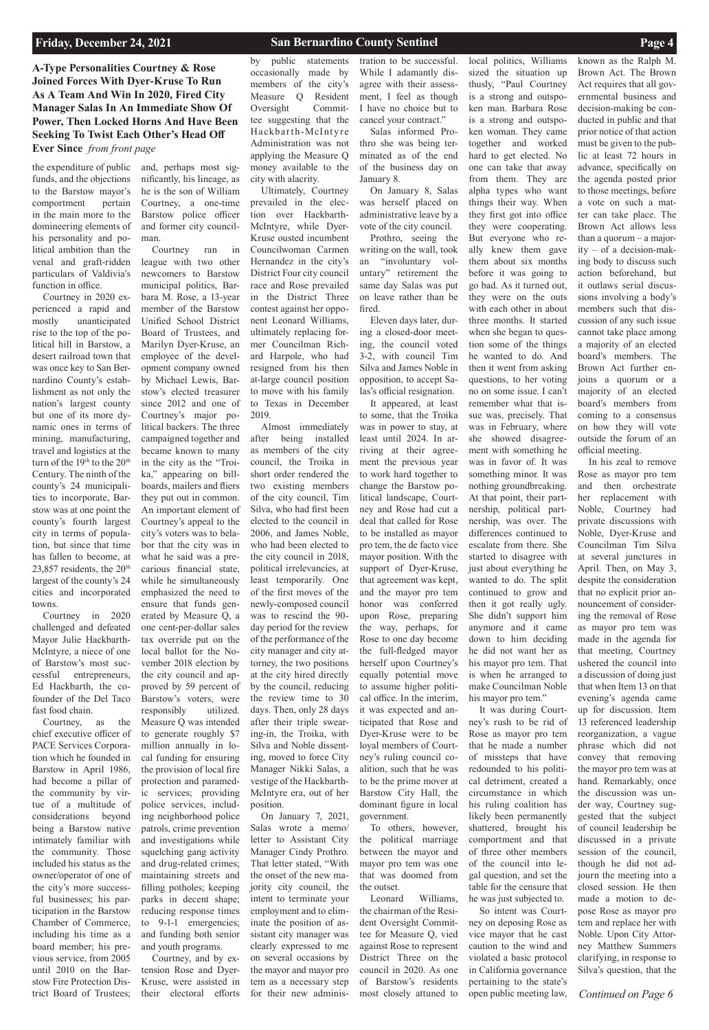*Continued on Page 6*

**A-Type Personalities Courtney & Rose Joined Forces With Dyer-Kruse To Run As A Team And Win In 2020, Fired City Manager Salas In An Immediate Show Of Power, Then Locked Horns And Have Been Seeking To Twist Each Other's Head Off Ever Since** *from front page*

the expenditure of public funds, and the objections to the Barstow mayor's comportment pertain in the main more to the domineering elements of his personality and political ambition than the venal and graft-ridden particulars of Valdivia's function in office.

Courtney in 2020 experienced a rapid and mostly unanticipated rise to the top of the political hill in Barstow, a desert railroad town that was once key to San Bernardino County's establishment as not only the nation's largest county but one of its more dynamic ones in terms of mining, manufacturing, travel and logistics at the turn of the 19<sup>th</sup> to the 20<sup>th</sup> Century. The ninth of the county's 24 municipalities to incorporate, Barstow was at one point the county's fourth largest city in terms of population, but since that time has fallen to become, at 23,857 residents, the  $20<sup>th</sup>$ largest of the county's 24 cities and incorporated towns.

Courtney in 2020 challenged and defeated Mayor Julie Hackbarth-McIntyre, a niece of one of Barstow's most successful entrepreneurs, Ed Hackbarth, the cofounder of the Del Taco fast food chain.

Courtney, as the chief executive officer of PACE Services Corporation which he founded in Barstow in April 1986, had become a pillar of the community by virtue of a multitude of considerations beyond being a Barstow native intimately familiar with the community. Those included his status as the owner/operator of one of the city's more successful businesses; his participation in the Barstow Chamber of Commerce, including his time as a board member; his previous service, from 2005 until 2010 on the Barstow Fire Protection District Board of Trustees;

and, perhaps most significantly, his lineage, as he is the son of William Courtney, a one-time Barstow police officer and former city councilman.

Courtney ran in league with two other newcomers to Barstow municipal politics, Barbara M. Rose, a 13-year member of the Barstow Unified School District Board of Trustees, and Marilyn Dyer-Kruse, an employee of the development company owned by Michael Lewis, Barstow's elected treasurer since 2012 and one of Courtney's major political backers. The three campaigned together and became known to many in the city as the "Troika," appearing on billboards, mailers and fliers they put out in common. An important element of Courtney's appeal to the city's voters was to belabor that the city was in what he said was a precarious financial state, while he simultaneously emphasized the need to ensure that funds generated by Measure Q, a one cent-per-dollar sales tax override put on the local ballot for the November 2018 election by the city council and approved by 59 percent of Barstow's voters, were responsibly utilized. Measure Q was intended to generate roughly \$7 million annually in local funding for ensuring the provision of local fire protection and paramedic services; providing police services, including neighborhood police patrols, crime prevention and investigations while squelching gang activity and drug-related crimes; maintaining streets and filling potholes; keeping parks in decent shape; reducing response times to 9-1-1 emergencies; and funding both senior and youth programs. Courtney, and by extension Rose and Dyer-Kruse, were assisted in their electoral efforts

# by public statements occasionally made by

members of the city's Measure Q Resident Oversight Committee suggesting that the Hackbar th-McInt y re Administration was not applying the Measure Q money available to the city with alacrity.

Ultimately, Courtney prevailed in the election over Hackbarth-McIntyre, while Dyer-Kruse ousted incumbent Councilwoman Carmen Hernandez in the city's District Four city council race and Rose prevailed in the District Three contest against her opponent Leonard Williams, ultimately replacing former Councilman Richard Harpole, who had resigned from his then at-large council position to move with his family to Texas in December 2019.

tration to be successful. While I adamantly disagree with their assessment, I feel as though I have no choice but to cancel your contract."

Salas informed Prothro she was being terminated as of the end of the business day on January 8.

Almost immediately after being installed as members of the city council, the Troika in short order rendered the two existing members of the city council, Tim Silva, who had first been elected to the council in 2006, and James Noble, who had been elected to the city council in 2018, political irrelevancies, at least temporarily. One of the first moves of the newly-composed council was to rescind the 90 day period for the review of the performance of the city manager and city attorney, the two positions at the city hired directly by the council, reducing the review time to 30 days. Then, only 28 days after their triple swearing-in, the Troika, with Silva and Noble dissenting, moved to force City Manager Nikki Salas, a vestige of the Hackbarth-McIntyre era, out of her position. On January 7, 2021, Salas wrote a memo/ letter to Assistant City Manager Cindy Prothro. That letter stated, "With the onset of the new majority city council, the intent to terminate your employment and to eliminate the position of assistant city manager was clearly expressed to me on several occasions by the mayor and mayor pro tem as a necessary step for their new administhe outset.

On January 8, Salas was herself placed on administrative leave by a vote of the city council.

Prothro, seeing the writing on the wall, took an "involuntary voluntary" retirement the same day Salas was put on leave rather than be fired.

Eleven days later, during a closed-door meeting, the council voted 3-2, with council Tim Silva and James Noble in opposition, to accept Salas's official resignation. It appeared, at least

to some, that the Troika was in power to stay, at least until 2024. In arriving at their agreement the previous year to work hard together to change the Barstow political landscape, Courtney and Rose had cut a deal that called for Rose to be installed as mayor pro tem, the de facto vice mayor position. With the support of Dyer-Kruse, that agreement was kept, and the mayor pro tem honor was conferred upon Rose, preparing the way, perhaps, for Rose to one day become the full-fledged mayor herself upon Courtney's equally potential move to assume higher political office. In the interim, it was expected and anticipated that Rose and Dyer-Kruse were to be loyal members of Courtney's ruling council coalition, such that he was to be the prime mover at Barstow City Hall, the

dominant figure in local government. To others, however, the political marriage

local politics, Williams sized the situation up thusly, "Paul Courtney is a strong and outspoken man. Barbara Rose is a strong and outspoken woman. They came together and worked hard to get elected. No one can take that away from them. They are alpha types who want things their way. When they first got into office they were cooperating. But everyone who really knew them gave them about six months before it was going to go bad. As it turned out, they were on the outs with each other in about three months. It started when she began to question some of the things he wanted to do. And then it went from asking questions, to her voting no on some issue. I can't remember what that issue was, precisely. That was in February, where she showed disagreement with something he was in favor of. It was something minor. It was nothing groundbreaking. At that point, their partnership, political partnership, was over. The differences continued to escalate from there. She started to disagree with just about everything he wanted to do. The split continued to grow and then it got really ugly. She didn't support him anymore and it came down to him deciding he did not want her as his mayor pro tem. That is when he arranged to make Councilman Noble his mayor pro tem."

between the mayor and mayor pro tem was one that was doomed from Leonard Williams, the chairman of the Resident Oversight Committee for Measure Q, vied against Rose to represent District Three on the council in 2020. As one of Barstow's residents most closely attuned to comportment and that of three other members of the council into legal question, and set the table for the censure that he was just subjected to. So intent was Courtney on deposing Rose as vice mayor that he cast caution to the wind and violated a basic protocol in California governance pertaining to the state's open public meeting law,

It was during Courtney's rush to be rid of Rose as mayor pro tem that he made a number of missteps that have redounded to his political detriment, created a circumstance in which his ruling coalition has

likely been permanently shattered, brought his

### known as the Ralph M. Brown Act. The Brown Act requires that all governmental business and decision-making be conducted in public and that prior notice of that action must be given to the public at least 72 hours in advance, specifically on the agenda posted prior to those meetings, before a vote on such a matter can take place. The Brown Act allows less than a quorum – a majority – of a decision-making body to discuss such action beforehand, but it outlaws serial discussions involving a body's members such that discussion of any such issue cannot take place among a majority of an elected board's members. The Brown Act further enjoins a quorum or a majority of an elected board's members from coming to a consensus on how they will vote outside the forum of an

official meeting.

In his zeal to remove Rose as mayor pro tem and then orchestrate her replacement with Noble, Courtney had private discussions with Noble, Dyer-Kruse and Councilman Tim Silva at several junctures in April. Then, on May 3, despite the consideration that no explicit prior announcement of considering the removal of Rose as mayor pro tem was made in the agenda for that meeting, Courtney ushered the council into a discussion of doing just that when Item 13 on that evening's agenda came up for discussion. Item 13 referenced leadership reorganization, a vague phrase which did not convey that removing the mayor pro tem was at hand. Remarkably, once the discussion was under way, Courtney suggested that the subject of council leadership be discussed in a private session of the council, though he did not adjourn the meeting into a closed session. He then made a motion to depose Rose as mayor pro tem and replace her with Noble. Upon City Attorney Matthew Summers clarifying, in response to Silva's question, that the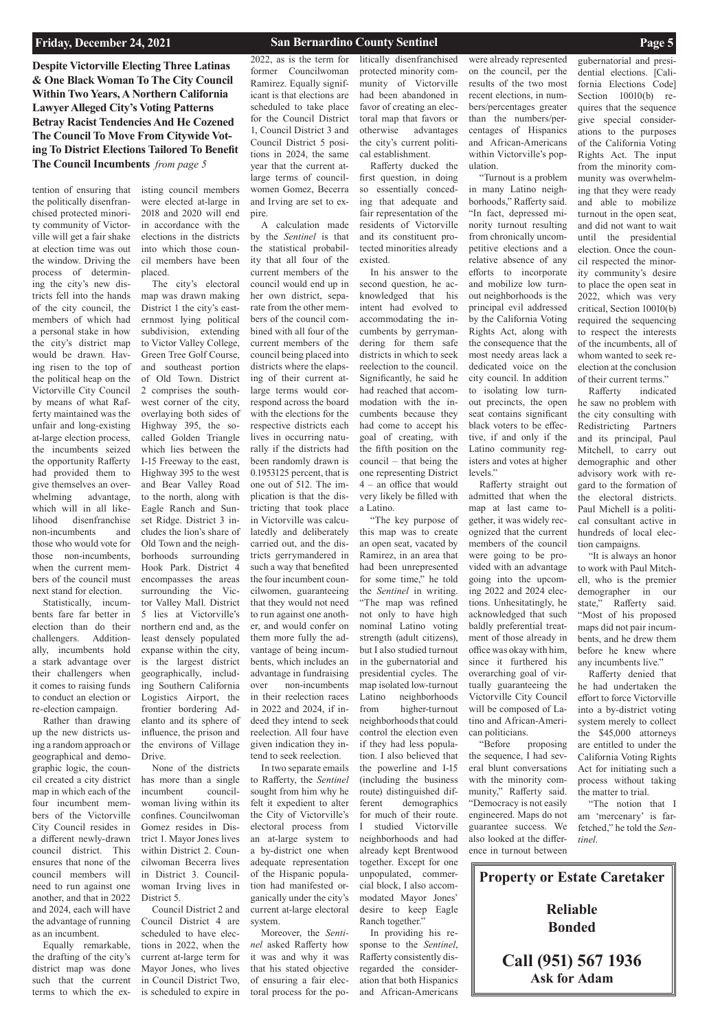**Despite Victorville Electing Three Latinas & One Black Woman To The City Council Within Two Years, A Northern California Lawyer Alleged City's Voting Patterns Betray Racist Tendencies And He Cozened The Council To Move From Citywide Voting To District Elections Tailored To Benefit The Council Incumbents** *from page 5*

tention of ensuring that the politically disenfranchised protected minority community of Victorville will get a fair shake at election time was out the window. Driving the process of determining the city's new districts fell into the hands of the city council, the members of which had a personal stake in how the city's district map would be drawn. Having risen to the top of the political heap on the Victorville City Council by means of what Rafferty maintained was the unfair and long-existing at-large election process, the incumbents seized the opportunity Rafferty had provided them to give themselves an overwhelming advantage, which will in all likelihood disenfranchise non-incumbents and those who would vote for those non-incumbents, when the current members of the council must next stand for election.

Statistically, incumbents fare far better in election than do their challengers. Additionally, incumbents hold a stark advantage over their challengers when it comes to raising funds to conduct an election or re-election campaign.

Rather than drawing up the new districts using a random approach or geographical and demographic logic, the council created a city district map in which each of the four incumbent members of the Victorville City Council resides in a different newly-drawn council district. This ensures that none of the council members will need to run against one another, and that in 2022 and 2024, each will have the advantage of running as an incumbent. Equally remarkable, the drafting of the city's district map was done such that the current terms to which the existing council members were elected at-large in 2018 and 2020 will end in accordance with the elections in the districts into which those council members have been placed.

The city's electoral map was drawn making District 1 the city's easternmost lying political subdivision, extending to Victor Valley College, Green Tree Golf Course, and southeast portion of Old Town. District 2 comprises the southwest corner of the city, overlaying both sides of Highway 395, the socalled Golden Triangle which lies between the I-15 Freeway to the east, Highway 395 to the west and Bear Valley Road to the north, along with Eagle Ranch and Sunset Ridge. District 3 includes the lion's share of Old Town and the neighborhoods surrounding Hook Park. District 4 encompasses the areas surrounding the Victor Valley Mall. District 5 lies at Victorville's northern end and, as the least densely populated expanse within the city, is the largest district geographically, including Southern California Logistics Airport, the frontier bordering Adelanto and its sphere of influence, the prison and the environs of Village Drive.

None of the districts has more than a single incumbent councilwoman living within its confines. Councilwoman Gomez resides in District 1. Mayor Jones lives within District 2. Councilwoman Becerra lives in District 3. Councilwoman Irving lives in District 5. Council District 2 and Council District 4 are scheduled to have elections in 2022, when the current at-large term for Mayor Jones, who lives in Council District Two, is scheduled to expire in

2022, as is the term for former Councilwoman Ramirez. Equally significant is that elections are scheduled to take place for the Council District 1, Council District 3 and Council District 5 positions in 2024, the same year that the current atlarge terms of councilwomen Gomez, Becerra and Irving are set to expire.

A calculation made by the *Sentinel* is that the statistical probability that all four of the current members of the council would end up in her own district, separate from the other members of the council combined with all four of the current members of the council being placed into districts where the elapsing of their current atlarge terms would correspond across the board with the elections for the respective districts each lives in occurring naturally if the districts had been randomly drawn is 0.1953125 percent, that is one out of 512. The implication is that the districting that took place in Victorville was calculatedly and deliberately carried out, and the districts gerrymandered in such a way that benefited the four incumbent councilwomen, guaranteeing that they would not need to run against one another, and would confer on them more fully the advantage of being incumbents, which includes an advantage in fundraising over non-incumbents in their reelection races in 2022 and 2024, if indeed they intend to seek reelection. All four have given indication they intend to seek reelection. In two separate emails

to Rafferty, the *Sentinel* sought from him why he felt it expedient to alter

the City of Victorville's electoral process from an at-large system to a by-district one when adequate representation of the Hispanic population had manifested organically under the city's current at-large electoral system. Moreover, the *Sentinel* asked Rafferty how it was and why it was that his stated objective of ensuring a fair electoral process for the po-

litically disenfranchised protected minority community of Victorville had been abandoned in favor of creating an electoral map that favors or otherwise advantages the city's current political establishment.

Rafferty ducked the first question, in doing so essentially conceding that adequate and fair representation of the residents of Victorville and its constituent protected minorities already existed.

In his answer to the second question, he acknowledged that his intent had evolved to accommodating the incumbents by gerrymandering for them safe districts in which to seek reelection to the council. Significantly, he said he had reached that accommodation with the incumbents because they had come to accept his goal of creating, with the fifth position on the council – that being the one representing District 4 – an office that would very likely be filled with a Latino.

"The key purpose of this map was to create an open seat, vacated by Ramirez, in an area that had been unrepresented for some time," he told the *Sentinel* in writing. "The map was refined not only to have high nominal Latino voting strength (adult citizens), but I also studied turnout in the gubernatorial and presidential cycles. The map isolated low-turnout Latino neighborhoods from higher-turnout neighborhoods that could control the election even if they had less population. I also believed that the powerline and I-15 (including the business route) distinguished different demographics for much of their route. I studied Victorville neighborhoods and had already kept Brentwood together. Except for one unpopulated, commercial block, I also accommodated Mayor Jones' desire to keep Eagle Ranch together." In providing his response to the *Sentinel*, Rafferty consistently disregarded the consideration that both Hispanics and African-Americans

were already represented on the council, per the results of the two most recent elections, in numbers/percentages greater than the numbers/percentages of Hispanics and African-Americans within Victorville's population.

"Turnout is a problem in many Latino neighborhoods," Rafferty said. "In fact, depressed minority turnout resulting from chronically uncompetitive elections and a relative absence of any efforts to incorporate and mobilize low turnout neighborhoods is the principal evil addressed by the California Voting Rights Act, along with the consequence that the most needy areas lack a dedicated voice on the city council. In addition to isolating low turnout precincts, the open seat contains significant black voters to be effective, if and only if the Latino community registers and votes at higher levels."

Rafferty straight out admitted that when the map at last came together, it was widely recognized that the current members of the council were going to be provided with an advantage going into the upcoming 2022 and 2024 elections. Unhesitatingly, he acknowledged that such baldly preferential treatment of those already in office was okay with him, since it furthered his overarching goal of virtually guaranteeing the Victorville City Council will be composed of Latino and African-American politicians.

"Before proposing the sequence, I had several blunt conversations with the minority community," Rafferty said. "Democracy is not easily engineered. Maps do not guarantee success. We also looked at the difference in turnout between

gubernatorial and presidential elections. [California Elections Code] Section 10010(b) requires that the sequence give special considerations to the purposes of the California Voting Rights Act. The input from the minority community was overwhelming that they were ready and able to mobilize turnout in the open seat, and did not want to wait until the presidential election. Once the council respected the minority community's desire to place the open seat in 2022, which was very critical, Section 10010(b) required the sequencing to respect the interests of the incumbents, all of whom wanted to seek reelection at the conclusion of their current terms."

Rafferty indicated he saw no problem with the city consulting with Redistricting Partners and its principal, Paul Mitchell, to carry out demographic and other advisory work with regard to the formation of the electoral districts. Paul Michell is a political consultant active in hundreds of local election campaigns.

"It is always an honor to work with Paul Mitchell, who is the premier demographer in our state," Rafferty said. "Most of his proposed maps did not pair incumbents, and he drew them before he knew where any incumbents live."

Rafferty denied that he had undertaken the effort to force Victorville into a by-district voting system merely to collect the \$45,000 attorneys are entitled to under the California Voting Rights Act for initiating such a process without taking the matter to trial.

"The notion that I am 'mercenary' is farfetched," he told the *Sentinel*.

**Property or Estate Caretaker**

# **Reliable Bonded**

**Call (951) 567 1936 Ask for Adam**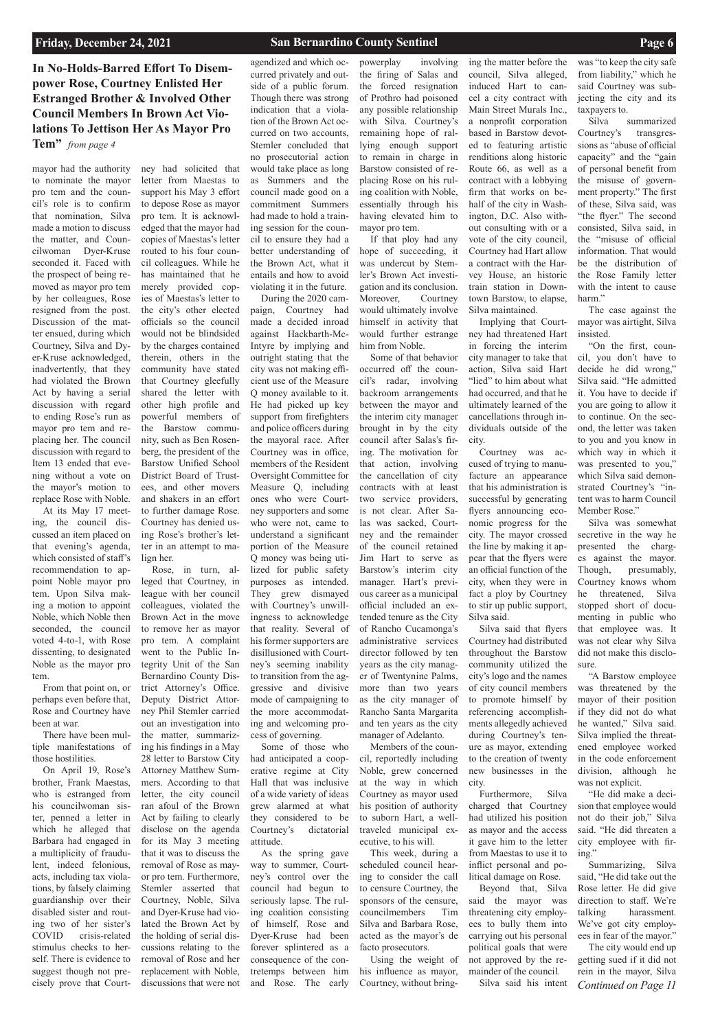# **In No-Holds-Barred Effort To Disempower Rose, Courtney Enlisted Her Estranged Brother & Involved Other Council Members In Brown Act Violations To Jettison Her As Mayor Pro**

**Tem"** *from page 4*

mayor had the authority to nominate the mayor pro tem and the council's role is to confirm that nomination, Silva made a motion to discuss the matter, and Councilwoman Dyer-Kruse seconded it. Faced with the prospect of being removed as mayor pro tem by her colleagues, Rose resigned from the post. Discussion of the matter ensued, during which Courtney, Silva and Dyer-Kruse acknowledged, inadvertently, that they had violated the Brown Act by having a serial discussion with regard to ending Rose's run as mayor pro tem and replacing her. The council discussion with regard to Item 13 ended that evening without a vote on the mayor's motion to replace Rose with Noble.

At its May 17 meeting, the council discussed an item placed on that evening's agenda, which consisted of staff's recommendation to appoint Noble mayor pro tem. Upon Silva making a motion to appoint Noble, which Noble then seconded, the council voted 4-to-1, with Rose dissenting, to designated Noble as the mayor pro tem.

From that point on, or perhaps even before that, Rose and Courtney have been at war.

There have been multiple manifestations of those hostilities.

On April 19, Rose's brother, Frank Maestas, who is estranged from

his councilwoman sister, penned a letter in which he alleged that Barbara had engaged in a multiplicity of fraudulent, indeed felonious, acts, including tax violations, by falsely claiming guardianship over their disabled sister and routing two of her sister's COVID crisis-related stimulus checks to herself. There is evidence to suggest though not precisely prove that Court-

ney had solicited that letter from Maestas to support his May 3 effort to depose Rose as mayor pro tem. It is acknowledged that the mayor had copies of Maestas's letter routed to his four council colleagues. While he has maintained that he merely provided copies of Maestas's letter to the city's other elected officials so the council would not be blindsided by the charges contained therein, others in the community have stated that Courtney gleefully shared the letter with other high profile and powerful members of the Barstow community, such as Ben Rosenberg, the president of the Barstow Unified School District Board of Trustees, and other movers and shakers in an effort to further damage Rose. Courtney has denied using Rose's brother's letter in an attempt to malign her.

Rose, in turn, alleged that Courtney, in league with her council colleagues, violated the Brown Act in the move to remove her as mayor pro tem. A complaint went to the Public Integrity Unit of the San Bernardino County District Attorney's Office. Deputy District Attorney Phil Stemler carried out an investigation into the matter, summarizing his findings in a May 28 letter to Barstow City Attorney Matthew Summers. According to that letter, the city council ran afoul of the Brown Act by failing to clearly disclose on the agenda for its May 3 meeting that it was to discuss the removal of Rose as mayor pro tem. Furthermore, Stemler asserted that Courtney, Noble, Silva and Dyer-Kruse had violated the Brown Act by the holding of serial discussions relating to the removal of Rose and her replacement with Noble, discussions that were not

agendized and which occurred privately and outside of a public forum. Though there was strong indication that a violation of the Brown Act occurred on two accounts, Stemler concluded that no prosecutorial action would take place as long as Summers and the council made good on a commitment Summers had made to hold a training session for the council to ensure they had a better understanding of the Brown Act, what it entails and how to avoid

violating it in the future. During the 2020 campaign, Courtney had made a decided inroad against Hackbarth-Mc-Intyre by implying and outright stating that the city was not making efficient use of the Measure Q money available to it. He had picked up key support from firefighters and police officers during the mayoral race. After Courtney was in office, members of the Resident Oversight Committee for Measure Q, including ones who were Courtney supporters and some who were not, came to understand a significant portion of the Measure Q money was being utilized for public safety purposes as intended. They grew dismayed with Courtney's unwillingness to acknowledge that reality. Several of his former supporters are disillusioned with Courtney's seeming inability to transition from the aggressive and divisive mode of campaigning to the more accommodating and welcoming process of governing.

Some of those who had anticipated a cooperative regime at City Hall that was inclusive of a wide variety of ideas grew alarmed at what they considered to be Courtney's dictatorial attitude. As the spring gave way to summer, Courtney's control over the council had begun to seriously lapse. The ruling coalition consisting of himself, Rose and Dyer-Kruse had been forever splintered as a consequence of the contretemps between him and Rose. The early

*Continued on Page 11* "He did make a decision that employee would not do their job," Silva said. "He did threaten a city employee with firing." Summarizing, Silva said, "He did take out the Rose letter. He did give direction to staff. We're talking harassment. We've got city employees in fear of the mayor." The city would end up getting sued if it did not rein in the mayor, Silva

powerplay involving the firing of Salas and the forced resignation of Prothro had poisoned any possible relationship with Silva. Courtney's remaining hope of rallying enough support to remain in charge in Barstow consisted of replacing Rose on his ruling coalition with Noble, essentially through his having elevated him to mayor pro tem.

If that ploy had any hope of succeeding, it was undercut by Stemler's Brown Act investigation and its conclusion. Moreover, Courtney would ultimately involve himself in activity that would further estrange him from Noble.

Some of that behavior occurred off the council's radar, involving backroom arrangements between the mayor and the interim city manager brought in by the city council after Salas's firing. The motivation for that action, involving the cancellation of city contracts with at least two service providers, is not clear. After Salas was sacked, Courtney and the remainder of the council retained Jim Hart to serve as Barstow's interim city manager. Hart's previous career as a municipal official included an extended tenure as the City of Rancho Cucamonga's administrative services director followed by ten years as the city manager of Twentynine Palms, more than two years as the city manager of Rancho Santa Margarita and ten years as the city manager of Adelanto.

Members of the council, reportedly including Noble, grew concerned at the way in which Courtney as mayor used

his position of authority to suborn Hart, a welltraveled municipal executive, to his will. This week, during a scheduled council hearing to consider the call to censure Courtney, the sponsors of the censure, councilmembers Tim Silva and Barbara Rose, acted as the mayor's de facto prosecutors. Using the weight of his influence as mayor, Courtney, without bring-

ing the matter before the council, Silva alleged, induced Hart to cancel a city contract with Main Street Murals Inc., a nonprofit corporation based in Barstow devoted to featuring artistic renditions along historic Route 66, as well as a contract with a lobbying firm that works on behalf of the city in Washington, D.C. Also without consulting with or a vote of the city council, Courtney had Hart allow a contract with the Harvey House, an historic train station in Downtown Barstow, to elapse, Silva maintained.

Implying that Courtney had threatened Hart in forcing the interim city manager to take that action, Silva said Hart "lied" to him about what had occurred, and that he ultimately learned of the cancellations through individuals outside of the city.

Courtney was accused of trying to manufacture an appearance that his administration is successful by generating flyers announcing economic progress for the city. The mayor crossed the line by making it appear that the flyers were an official function of the city, when they were in fact a ploy by Courtney to stir up public support, Silva said.

Silva said that flyers Courtney had distributed throughout the Barstow community utilized the city's logo and the names of city council members to promote himself by referencing accomplishments allegedly achieved during Courtney's tenure as mayor, extending to the creation of twenty new businesses in the city.

Furthermore, Silva

charged that Courtney had utilized his position as mayor and the access it gave him to the letter from Maestas to use it to inflict personal and political damage on Rose. Beyond that, Silva said the mayor was threatening city employees to bully them into carrying out his personal political goals that were not approved by the remainder of the council. Silva said his intent

was "to keep the city safe from liability," which he said Courtney was subjecting the city and its taxpayers to.

Silva summarized Courtney's transgressions as "abuse of official capacity" and the "gain of personal benefit from the misuse of government property." The first of these, Silva said, was "the flyer." The second consisted, Silva said, in the "misuse of official information. That would be the distribution of the Rose Family letter with the intent to cause harm."

The case against the mayor was airtight, Silva insisted.

"On the first, council, you don't have to decide he did wrong," Silva said. "He admitted it. You have to decide if you are going to allow it to continue. On the second, the letter was taken to you and you know in which way in which it was presented to you," which Silva said demonstrated Courtney's "intent was to harm Council Member Rose."

Silva was somewhat secretive in the way he presented the charges against the mayor. Though, presumably, Courtney knows whom he threatened, Silva stopped short of documenting in public who that employee was. It was not clear why Silva did not make this disclosure.

"A Barstow employee was threatened by the mayor of their position if they did not do what he wanted," Silva said. Silva implied the threatened employee worked in the code enforcement division, although he was not explicit.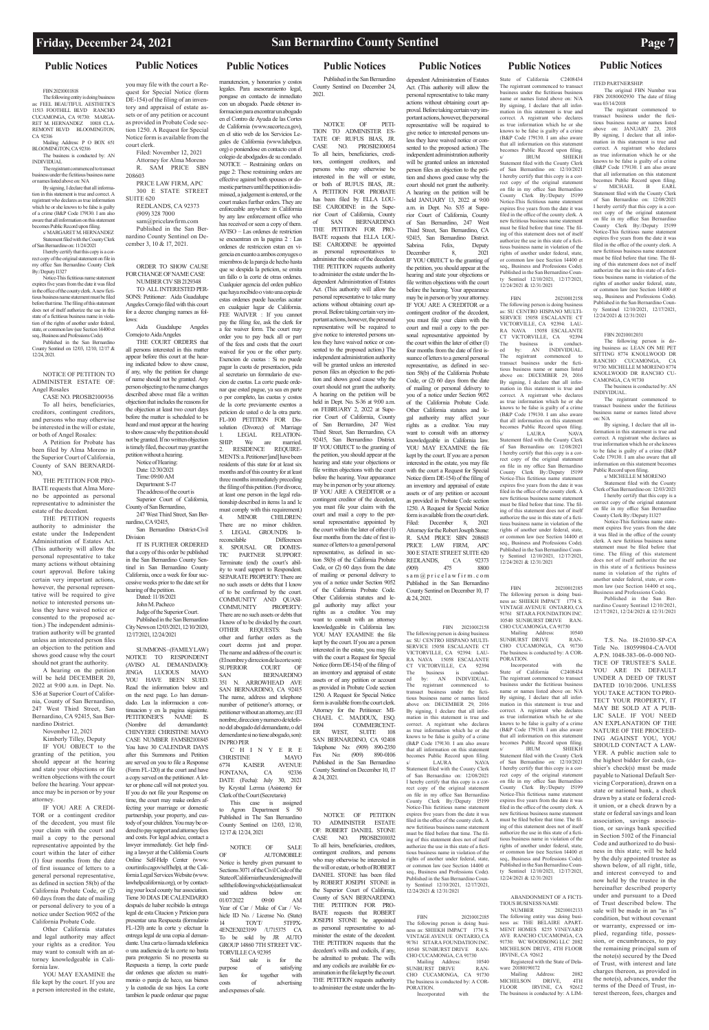### **Public Notices Public Notices Public Notices Public Notices Public Notices Public Notices Public Notices**

### FBN 20210011818

The following entity is doing business as: FEEL BEAUTIFUL AESTHETICS 11513 FOOTHILL BLVD RANCHO CUCAMONGA, CA 91730: MARGA-RET M. HERNANDEZ 10818 CLA-REMONT BLVD BLOOMINGTON, CA 92316

Mailing Address: P O BOX 651 BLOOMINGTON, CA 92316

By signing, I declare that all inform tion in this statement is true and correct. A registrant who declares as true information which he or she knows to be false is guilty of a crime (B&P Code 179130. I am also aware that all information on this statement becomes Public Record upon filing.

The business is conducted by: AN INDIVIDUAL The registrant commenced to transact

business under the fictitious business name or names listed above on: N/A

s/ MARGARET M. HERNANDEZ Statement filed with the County Clerk of San Bernardino on: 11/24/2021

I hereby certify that this copy is a correct copy of the original statement on file in my office San Bernardino County Clerk By:/Deputy I1327

Notice-This fictitious name statement expires five years from the date it was filed in the office of the county clerk. A new fictitious business name statement must be filed before that time. The filing of this statement does not of itself authorize the use in this state of a fictitious business name in violation of the rights of another under federal, state, or common law (see Section 14400 et seq., Business and Professions Code).

Published in the San Bernardino County Sentinel on 12/03, 12/10, 12/17 & 12/24, 2021.

NOTICE OF PETITION TO ADMINISTER ESTATE OF: Angel Rosales

CASE NO. PROSB2100936 To all heirs, beneficiaries, creditors, contingent creditors, and persons who may otherwise be interested in the will or estate, or both of Angel Rosales:

A Petition for Probate has been filed by Alma Moreno in the Superior Court of California, County of SAN BERNARDI-NO,

THE PETITION FOR PRO-BATE requests that Alma Moreno be appointed as personal representative to administer the estate of the decedent.

THE PETITION requests authority to administer the estate under the Independent Administration of Estates Act. (This authority will allow the personal representative to take many actions without obtaining court approval. Before taking certain very important actions, however, the personal representative will be required to give notice to interested persons unless they have waived notice or consented to the proposed action.) The independent administration authority will be granted unless an interested person files an objection to the petition and shows good cause why the court should not grant the authority.

A hearing on the petition will be held DECEMBER 20, 2022 at 9:00 a.m. in Dept. No. S36 at Superior Court of California, County of San Bernardino, 247 West Third Street, San Bernardino, CA 92415, San Bernardino District.

November 12, 2021

Kimberly Tilley, Deputy

IF YOU OBJECT to the granting of the petition, you should appear at the hearing and state your objections or file written objections with the court before the hearing. Your appearance may be in person or by your attorney.

IF YOU ARE A CREDI-TOR or a contingent creditor of the decedent, you must file your claim with the court and mail a copy to the personal representative appointed by the court within the later of either (1) four months from the date of first issuance of letters to a general personal representative, as defined in section 58(b) of the California Probate Code, or (2) 60 days from the date of mailing or personal delivery to you of a notice under Section 9052 of the California Probate Code.

Other California statutes and legal authority may affect your rights as a creditor. You may want to consult with an attorney knowledgeable in California law.

YOU MAY EXAMINE the file kept by the court. If you are a person interested in the estate, you may file with the court a Request for Special Notice (form DE-154) of the filing of an inventory and appraisal of estate assets or of any petition or account as provided in Probate Code section 1250. A Request for Special Notice form is available from the court clerk.

Filed: November 12, 2021 Attorney for Alma Moreno R. SAM PRICE SBN 208603

PRICE LAW FIRM, APC 300 E STATE STREET SUITE 620 REDLANDS, CA 92373

(909) 328 7000 sam@pricelawfirm.com Published in the San Bernardino County Sentinel on December 3, 10 & 17, 2021.

ORDER TO SHOW CAUSE FOR CHANGE OF NAME CASE NUMBER CIV SB 2129348

TO ALL INTERESTED PER-SONS: Petitioner: Aida Guadalupe Angeles Cornejo filed with this court for a decree changing names as follows:

Aida Guadalupe Angeles Cornejo to Aida Angeles

THE COURT ORDERS that all persons interested in this matter appear before this court at the hearing indicated below to show cause, if any, why the petition for change of name should not be granted. Any person objecting to the name changes described above must file a written objection that includes the reasons for the objection at least two court days before the matter is scheduled to be heard and must appear at the hearing to show cause why the petition should not be granted. If no written objection is timely filed, the court may grant the petition without a hearing.

> This case is assigned<br>Agron Department S 50 to Agron Department  $S$ Published in The San Bernardino County Sentinel on 12/03, 12/10, 12/17 & 12/24, 2021

Notice of Hearing: Date: 12/30/2021 Time: 09:00 AM Department: S-17 The address of the court is Superior Court of California, County of San Bernardino,

247 West Third Street, San Bernardino, CA 92415, San Bernardino District-Civil

Division IT IS FURTHER ORDERED

that a copy of this order be published in the San Bernardino County Sentinel in San Bernardino County California, once a week for four successive weeks prior to the date set for hearing of the petition.

Dated: 11/18/2021 John M. Pacheco

Judge of the Superior Court.

Published in the San Bernardino City News on 12/03/2021, 12/10/2020, 12/17/2021, 12/24/2021

SUMMONS – (FAMILY LAW) NOTICE TO RESPONDENT (AVISO AL DEMANDADO): JINGA LUCIOUS MAYO YOU HAVE BEEN SUED. Read the information below and on the next page. Lo han demandado. Lea la informacion a continuacion y en la pagina siguiente. PETITIONER'S NAME IS<br>(Nombre del demandante): (Nombre del demandante): CHINYERE CHRISTINE MAYO CASE NUMBER FAMSB2101845 You have 30 CALENDAR DAYS after this Summons and Petition are served on you to file a Response (Form FL-120) at the court and have a copy served on the petitioner. A letter or phone call will not protect you. If you do not file your Response on

time, the court may make orders af-

fecting your marriage or domestic partnership, your property, and custody of your children. You may be ordered to pay support and attorney fees and costs. For legal advice, contact a lawyer immediately. Get help finding a lawyer at the California Courts Online Self-Help Center (www. courtinfo.cagov/selfhelp), at the California Legal Services Website (www. lawhelpcalifornia.org), or by contacting your local county bar association. Tiene 30 DIAS DE CALENDARIO después de haber recibido la entrega legal de esta Citacion y Peticion para presentar una Respuesta (formulario FL-120) ante la corte y efectuar la entrega legal de una copia al demandante. Una carta o liamada telefonica o una audiencia de la corte no basta para protegerio. Si no presenta su Respuesta a tiemp, la corte puede dar ordenes que afecten su matrimonio o pareja de heco, sus bienes y la custodia de sus hijos. La corte tambien le puede ordenar que pague

manutencion, y honorarios y costos legales. Para asesoramiento legal, pongase en contacto de inmediato con un abogado. Puede obtener informacion para encontrar un abogado en el Contro de Ayuda de las Cortes de California (www.sucorte.ca.gov), en el sitio web de los Servicios Legales de California (www.lahelpca. org) o poniendose en contacto con el colegio de abodgados de su condado. NOTICE – Restraining orders on page 2: These restraining orders are effective against both spouses or domestic partners until the petition is dismissed, a judgement is entered, or the court makes further orders. They are enforceable anywhere in California by any law enforcement office who has received or seen a copy of them. AVISO – Las ordenes de restriction se encuentran en la pagina 2 : Las ordenes de restriccion estan en vigencia en cuanto a ambos conyuges o miembros de la pareja de hecho hasta que se despida la peticion, se emita un fallo o la corte de otras ordenes. Cualquier agencia del orden publico que haya rocibido o visto una copia de estas ordenes puede hacerlas acatar en cualquier lugar de California. FEE WAIVER: If you cannot pay the filing fee, ask the clerk for a fee waiver form. The court may

order you to pay back all or part of the fees and costs that the court waived for you or the other party. Exencion de cuotas : Si no puede pagar la cuota de presentacion, pida al secretario un formulario de execion de cuotas. La corte puede ordenar que ested pague, ya sea en parte o por completo, las cuotas y costos de la corte previamente exentos a peticion de usted o de la otra parte. FL-100 PETITION FOR Dissolution (Divorce) of: Marriage LEGAL RELATION-SHIP: We are married.

> FBN 20210012185 The following person is doing business as: SHIEKH IMPACT 1774 S. VINTAGE AVENUE ONTARIO, CA 91761 SITARA FOUNDATION INC.<br>10540 SUNBURST DRIVE RAN- $10540$  SUNBURST DRIVE CHO CUCAMONGA, CA 91730<br>Mailing Address: 10540

State of California C2408434 The registrant commenced to transact business under the fictitious business name or names listed above on: N/A By signing, I declare that all information in this statement is true and correct. A registrant who declares as true information which he or she knows to be false is guilty of a crime (B&P Code 179130. I am also aware that all information on this statement becomes Public Record upon filing. s/ IRUM SHIEKH Statement filed with the County Clerk of San Bernardino on: 12/10/2021 I hereby certify that this copy is a correct copy of the original statement on file in my office San Bernardino County Clerk By:/Deputy I5199 Notice-This fictitious name statement expires five years from the date it was filed in the office of the county clerk. A new fictitious business name statement must be filed before that time. The filing of this statement does not of itself authorize the use in this state of a fictitious business name in violation of the rights of another under federal, state, or common law (see Section 14400 et seq., Business and Professions Code). Published in the San Bernardino Coun-Sentinel 12/10/2021, 12/17/2021,

2. RESIDENCE REQUIRE-MENTS: a. Petitioner [and] have been residents of this state for at least six months and of this country for at least three months immediately preceding the filing of this petition. (For divorce, at least one person in the legal relationship described in items 1a and 1c must comply with this requirement.) 4. MINOR CHILDREN: There are no minor children. 5. LEGAL GROUNDS: Irreconcilable<br>8. SPOUS 8. SPOUSAL OR DOMES-TIC PARTNER SUPPORT: Terminate (end) the court's ability to ward support to Respondent. SEPARATE PROPERTY: There are no such assets or debts that I know of to be confirmed by the court. COMMUNITY AND QUASI-COMMUNITY PROPERTY: There are no such assets or debts that I know of to be divided by the court. OTHER REQUESTS: Such other and further orders as the

court deems just and proper. The name and address of the court is: (El nombre y dirrecion de la corte son): SUPERIOR COURT OF SAN BERNARDINO 351 N. ARROWHEAD AVE SAN BERNARDINO, CA 92415 The name, address and telephone number of petitioner's attorney, or petitioner without an attorney, are: (El nombre, direccion y numero de telefono del abogado del demandante, o del demendante si no tiene abogado, son):

IN PRO PER C H I N Y E R E CHRISTINE MAYO<br>6774 KAISER AVENUE KAISER AVENUE<br>NA, CA 92336 FONTANA, DATE (Fecha): July 30, 2021 by Krystal Lerma (Asistente) for

Clerk of the Court (Secretario)

### FBN 20210012185 The following person is doing busi-ness as: SHIEKH IMPACT 1774 S. VINTAGE AVENUE ONTARIO, CA 91761 SITARA FOUNDATION INC.

NOTICE OF SALE OF AUTOMOBILE Notice is hereby given pursuant to Sections 3071 of the Civil Code of the State of California the undersigned will sell the following vehicle(s) at lien sale at said address below on: 01/07/2022 09:00 AM Year of Car / Make of Car / Vehicle ID No. / License No. (State)<br>14 TOYT/ 5TFPX-TOYT/ 4EN2EX023199 /U715375 CA To be sold by JR AUTO GROUP 14860 7TH STREET VIC-TORVILLE CA 92395 Said sale is for the<br>pose of satisfying purpose of satisfying lien for together with<br>costs of advertising costs of advertising and expenses of sale.

Published in the San Bernardino County Sentinel on December 24, 2021.

> ABANDONMENT OF A FICTI-TIOUS BUSINESS NAME<br>NUMBER 20 20210012133

The following entity was doing busi-ness as: THE BELAIRE APART-MENT HOMES 8255 VINEYARD AVE RANCHO CUCAMONGA, CA 91730: WC WOODSONG LLC 2082 MICHELSON DRIVE, 4TH FLOOR IRVINE, CA 92612 Registered with the State of Dela-<br>ware 20180190172

NOTICE OF PETI-TION TO ADMINISTER ES-TATE OF: RUFUS BIAS, JR. CASE NO. PROSB2100054 To all heirs, beneficiaries, creditors, contingent creditors, and persons who may otherwise be interested in the will or estate, or both of RUFUS BIAS IR A PETITION FOR PROBATE has been filed by ELLA LOU-ISE CARODINE in the Superior Court of California, County of SAN BERNARDINO. THE PETITION FOR PRO-BATE requests that ELLA LOU-ISE CARODINE be appointed personal representatives to administer the estate of the decedent. THE PETITION requests authority to administer the estate under the Independent Administration of Estates Act. (This authority will allow the personal representative to take many actions without obtaining court approval. Before taking certain very important actions, however, the personal representative will be required to give notice to interested persons unless they have waived notice or consented to the proposed action.) The independent administration authority will be granted unless an interested person files an objection to the petition and shows good cause why the court should not grant the authority. A hearing on the petition will be held in Dept. No. S-36 at 9:00 a.m. on FEBRUARY 2, 2022 at Superior Court of California, County of San Bernardino, 247 West Third Street, San Bernardino, CA 92415, San Bernardino District. IF YOU OBJECT to the granting of the petition, you should appear at the hearing and state your objections or file written objections with the court before the hearing. Your appearance may be in person or by your attorney. IF YOU ARE A CREDITOR or a contingent creditor of the decedent, you must file your claim with the court and mail a copy to the personal representative appointed by the court within the later of either (1) four months from the date of first issuance of letters to a general personal representative, as defined in section 58(b) of the California Probate Code, or (2) 60 days from the date of mailing or personal delivery to you of a notice under Section 9052 of the California Probate Code. Other California statutes and legal authority may affect your rights as a creditor. You may want to consult with an attorney knowledgeable in California law. YOU MAY EXAMINE the file kept by the court. If you are a person interested in the estate, you may file with the court a Request for Special Notice (form DE-154) of the filing of an inventory and appraisal of estate assets or of any petition or account as provided in Probate Code section 1250. A Request for Special Notice form is available from the court clerk. Attorney for the Petitioner: MI-CHAEL C. MADDUX, ESQ. COMMERCENT-ER WEST, SUITE 108 SAN BERNARDINO, CA 92408 Telephone No: (909) 890-2350 Fax No: (909) 890-0106 Published in the San Bernardino County Sentinel on December 10, 17 & 24, 2021.

mon law (see Section 14400 et seq. Business and Professions Code). Published in the San Ber-

NOTICE OF PETITION TO ADMINISTER ESTATE OF: ROBERT DANIEL STONE CASE NO. PROSB2101032 To all heirs, beneficiaries, creditors, contingent creditors, and persons who may otherwise be interested in the will or estate, or both of ROBERT DANIEL STONE has been filed by ROBERT JOSEPH STONE in the Superior Court of California, County of SAN BERNARDINO. THE PETITION FOR PRO-BATE requests that ROBERT JOSEPH STONE be appointed as personal representative to administer the estate of the decedent. THE PETITION requests that the decedent's wills and codicils, if any, be admitted to probate. The wills and any codicils are available for examination in the file kept by the court. THE PETITION requests authority to administer the estate under the Independent Administration of Estates Act. (This authority will allow the personal representative to take many actions without obtaining court approval. Before taking certain very important actions, however, the personal representative will be required to give notice to interested persons unless they have waived notice or consented to the proposed action.) The independent administration authority will be granted unless an interested person files an objection to the petition and shows good cause why the court should not grant the authority. A hearing on the petition will be held JANUARY 13, 2022 at 9:00 a.m. in Dept. No. S35 at Superior Court of California, County of San Bernardino, 247 West Third Street, San Bernardino, CA 92415, San Bernardino District. Sabrina Felix, Deputy December 8, 2021 IF YOU OBJECT to the granting of the petition, you should appear at the hearing and state your objections or file written objections with the court before the hearing. Your appearance may be in person or by your attorney. IF YOU ARE A CREDITOR or a contingent creditor of the decedent, you must file your claim with the court and mail a copy to the personal representative appointed by the court within the later of either (1) four months from the date of first issuance of letters to a general personal representative, as defined in section 58(b) of the California Probate Code, or (2) 60 days from the date of mailing or personal delivery to you of a notice under Section 9052 of the California Probate Code. Other California statutes and legal authority may affect your rights as a creditor. You may want to consult with an attorney knowledgeable in California law. YOU MAY EXAMINE the file kept by the court. If you are a person interested in the estate, you may file with the court a Request for Special Notice (form DE-154) of the filing of an inventory and appraisal of estate assets or of any petition or account as provided in Probate Code section 1250. A Request for Special Notice form is available from the court clerk. Filed: December 8, 2021 Attorney for the Robert Joseph Stone: R. SAM PRICE SBN 208603 PRICE LAW FIRM, APC 300 E STATE STREET SUITE 620<br>REDLANDS, CA 92373 REDLANDS, CA 92373<br>(909) 475 8800  $(909)$ s a m @ p r i c e l a w f i r m . c o m Published in the San Bernardino County Sentinel on December 10, 17 & 24, 2021.

 FBN 20210012158 The following person is doing business as: SU CENTRO HISPANO MULTI-SERVICE 15058 ESCALANTE CT VICTORVILLE, CA 92394: LAU-<br>RA NAVA 15058 ESCALANTE 15058 ESCALANTE CT VICTORVILLE, CA 92394 The business is conduct-ed by: AN INDIVIDUAL. The registrant commenced to<br>transact business under the ficti- $\overline{\text{b}}$  business under the fictitious business name or names listed above on: DECEMBER 29, 2016 By signing, I declare that all information in this statement is true and correct. A registrant who declares as true information which he or she knows to be false is guilty of a crime (B&P Code 179130. I am also aware that all information on this statement becomes Public Record upon filing. LAURA NAVA Statement filed with the County Clerk of San Bernardino on: 12/08/2021 I hereby certify that this copy is a correct copy of the original statement rect copy of the original on file in my office San Bernardino

County Clerk By:/Deputy I5199 Notice-This fictitious name statement expires five years from the date it was filed in the office of the county clerk. A new fictitious business name statement must be filed before that time. The filing of this statement does not of itself authorize the use in this state of a fictitious business name in violation of the rights of another under federal, state, or common law (see Section 14400 et seq., Business and Professions Code). Published in the San Bernardino County Sentinel 12/10/2021, 12/17/2021, 12/24/2021 & 12/31/2021

Mailing Address: 10540 SUNBURST DRIVE RAN-CHO CUCAMONGA, CA 91730 The business is conducted by: A COR-PORATION.

Incorporated with the

### 12/24/2021 & 12/31/2021 FBN 20210012158 The following person is doing business as: SU CENTRO HISPANO MULTI-SERVICE 15058 ESCALANTE CT VICTORVILLE, CA 92394: LAU-RA NAVA 15058 ESCALANTE CT VICTORVILLE, CA 92394<br>The business is conduct-The business is conduct-ed by: AN INDIVIDUAL. The registrant commenced to transact business under the fictitious business name or names listed above on: DECEMBER By signing, I declare that all infor-mation in this statement is true and correct. A registrant who declares as true information which he or she knows to be false is guilty of a crime (B&P Code 179130. I am also aware

that all information on this statement becomes Public Record upon filing. s/ LAURA NAVA Statement filed with the County Clerk of San Bernardino on: 12/08/2021 I hereby certify that this copy is a correct copy of the original statement on file in my office San Bernardino County Clerk By:/Deputy I5199 Notice-This fictitious name statement expires five years from the date it was filed in the office of the county clerk. A new fictitious business name statement must be filed before that time. The filing of this statement does not of itself authorize the use in this state of a fictitious business name in violation of the rights of another under federal, state, or common law (see Section 14400 et seq., Business and Professions Code). Published in the San Bernardino County Sentinel 12/10/2021, 12/17/2021, 12/24/2021 & 12/31/2021

10540 SUNBURST DRIVE RAN-CHO CUCAMONGA, CA 91730<br>Mailing Address: 10540 Mailing Address: 10540 SUNBURST DRIVE RAN-CHO CUCAMONGA, CA 91730

The business is conducted by: A COR-PORATION. Incorporated with State of California C2408434 The registrant commenced to transact business under the fictitious business name or names listed above on: N/A By signing, I declare that all information in this statement is true and correct. A registrant who declares as true information which he or she knows to be false is guilty of a crime (B&P Code 179130. I am also aware that all information on this statement becomes Public Record upon filing. s/ IRUM SHIEKH Statement filed with the County Clerk of San Bernardino on: 12/10/2021 I hereby certify that this copy is a cor-rect copy of the original statement on file in my office San Bernardino County Clerk By:/Deputy I5199 Notice-This fictitious name statement expires five years from the date it was filed in the office of the county clerk. A new fictitious business name statement must be filed before that time. The filing of this statement does not of itself authorize the use in this state of a fictitious business name in violation of the rights of another under federal, state, or common law (see Section 14400 et seq., Business and Professions Code). Published in the San Bernardino Coun-Sentinel 12/10/2021, 12/17/2021. 12/24/2021 & 12/31/2021

ware 20180190172 Mailing Address: 2082 MICHELSON DRIVE, 4TH

FLOOR IRVINE, CA 92612 The business is conducted by: A LIM-

ITED PARTNERSHIP. The original FBN Number was FBN 20180002930 The date of filing

was 03/14/2018 The registrant commenced to

transact business under the fictitious business name or names listed above on: JANUARY 23, 2018 By signing, I declare that all infor-mation in this statement is true and correct. A registrant who declares as true information which he or she knows to be false is guilty of a crime (B&P Code 179130. I am also aware that all information on this statement becomes Public Record upon filing. s/ MICHAEL B EARL Statement filed with the County Clerk of San Bernardino on: 12/08/2021 I hereby certify that this copy is a correct copy of the original statement on file in my office San Bernardino County Clerk By:/Deputy I5199 Notice-This fictitious name statement expires five years from the date it was filed in the office of the county clerk. A new fictitious business name statement must be filed before that time. The filing of this statement does not of itself .<br>horize the use in this state of a fictitious business name in violation of the rights of another under federal, state, or common law (see Section 14400 et seq., Business and Professions Code). Published in the San Bernardino County Sentinel 12/10/2021, 12/17/2021, 12/24/2021 & 12/31/2021

FBN 20210012031

The following person is dobusiness as: LEAN ON ME PET SITTING 8774 KNOLLWOOD DR RANCHO CUCAMONGA, CA 91730: MICHELLE M MORENO 8774 KNOLLWOOD DR RANCHO CU-CAMONGA, CA 91730 The business is conducted by: AN

INDIVIDUAL. The registrant commenced to

transact business under the fictitious business name or names listed above on: N/A

By signing, I declare that all information in this statement is true and correct. A registrant who declares as true information which he or she knows to be false is guilty of a crime (B&P Code 179130. I am also aware that all information on this statement becomes Public Record upon filing.

 $s/MICHFI$  E M MORENO

Statement filed with the County Clerk of San Bernardino on: 12/03/2021 I hereby certify that this copy is a correct copy of the original statement

on file in my office San Bernardino County Clerk By:/Deputy I1327 Notice-This fictitious name statement expires five years from the date it was filed in the office of the county clerk. A new fictitious business name statement must be filed before that time. The filing of this statement does not of itself authorize the use in this state of a fictitious business name in violation of the rights of another under federal, state, or com-

nardino County Sentinel 12/10/2021, 12/17/2021, 12/24/2021 & 12/31/2021

T.S. No. 18-21030-SP-CA Title No. 180599804-CA-VOI A.P.N. 1048-383-06-0-000 NO-TICE OF TRUSTEE'S SALE. YOU ARE IN DEFAULT UNDER A DEED OF TRUST DATED 10/10/2006. UNLESS YOU TAKE ACTION TO PRO-TECT YOUR PROPERTY, IT MAY BE SOLD AT A PUB-LIC SALE. IF YOU NEED AN EXPLANATION OF THE NATURE OF THE PROCEED-ING AGAINST YOU, YOU SHOULD CONTACT A LAW-YER. A public auction sale to the highest bidder for cash, (cashier's check(s) must be made payable to National Default Servicing Corporation), drawn on a state or national bank, a check drawn by a state or federal credit union, or a check drawn by a state or federal savings and loan association, savings association, or savings bank specified in Section 5102 of the Financial Code and authorized to do business in this state; will be held by the duly appointed trustee as shown below, of all right, title, and interest conveyed to and now held by the trustee in the hereinafter described property under and pursuant to a Deed of Trust described below. The sale will be made in an "as is" condition, but without covenant or warranty, expressed or implied, regarding title, possession, or encumbrances, to pay the remaining principal sum of the note(s) secured by the Deed of Trust, with interest and late charges thereon, as provided in the note(s), advances, under the terms of the Deed of Trust, interest thereon, fees, charges and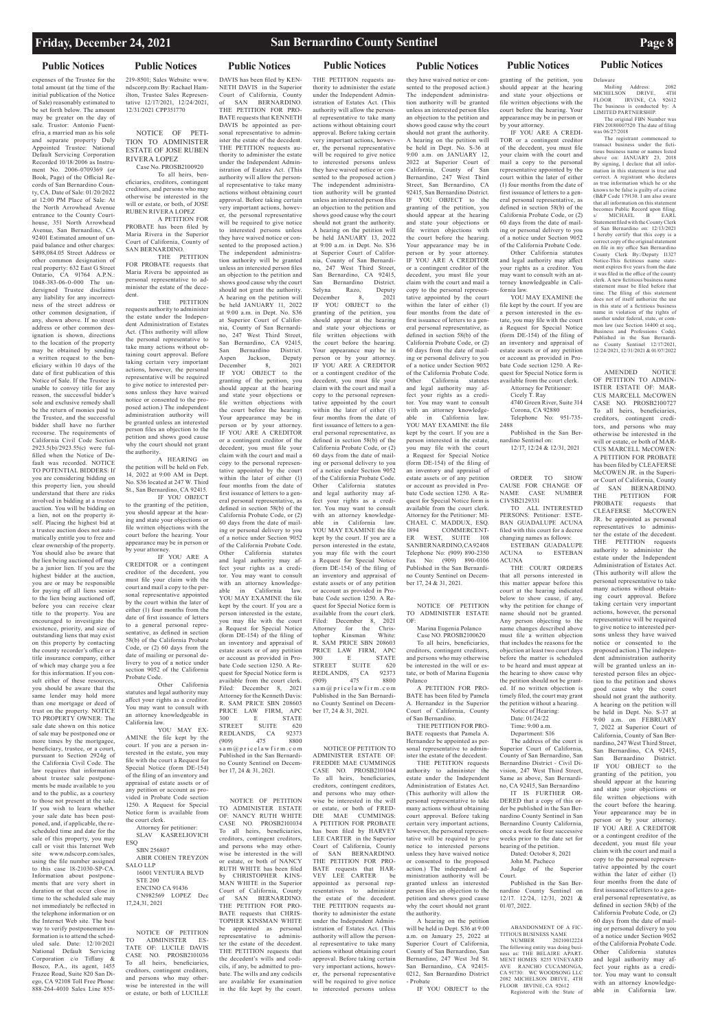### **Public Notices Public Notices Public Notices Public Notices Public Notices Public Notices Public Notices**

expenses of the Trustee for the total amount (at the time of the initial publication of the Notice of Sale) reasonably estimated to be set forth below. The amount may be greater on the day of sale. Trustor: Antonio Fuentefria, a married man as his sole and separate property Duly Appointed Trustee: National Default Servicing Corporation Recorded 10/18/2006 as Instrument No. 2006-0709369 (or Book, Page) of the Official Records of San Bernardino County, CA. Date of Sale: 01/20/2022 at 12:00 PM Place of Sale: At the North Arrowhead Avenue entrance to the County Courthouse, 351 North Arrowhead Avenue, San Bernardino, CA 92401 Estimated amount of unpaid balance and other charges: \*<br>\$498,084.05 Street Address or other common designation of real property: 632 East G Street Ontario, CA 91764 A.P.N.: 1048-383-06-0-000 The undersigned Trustee disclaims any liability for any incorrectness of the street address or other common designation, if any, shown above. If no street address or other common designation is shown, directions to the location of the property may be obtained by sending a written request to the beneficiary within 10 days of the date of first publication of this Notice of Sale. If the Trustee is unable to convey title for any reason, the successful bidder's sole and exclusive remedy shall be the return of monies paid to the Trustee, and the successful bidder shall have no further recourse. The requirements of California Civil Code Section 2923.5(b)/2923.55(c) were fulfilled when the Notice of Default was recorded. NOTICE TO POTENTIAL BIDDERS: If you are considering bidding on this property lien, you should understand that there are risks involved in bidding at a trustee auction. You will be bidding on a lien, not on the property itself. Placing the highest bid at a trustee auction does not automatically entitle you to free and clear ownership of the property. You should also be aware that the lien being auctioned off may be a junior lien. If you are the highest bidder at the auction, you are or may be responsible for paying off all liens senior to the lien being auctioned off, before you can receive clear title to the property. You are encouraged to investigate the existence, priority, and size of outstanding liens that may exist on this property by contacting the county recorder's office or a title insurance company, either of which may charge you a fee for this information. If you consult either of these resources, you should be aware that the same lender may hold more than one mortgage or deed of trust on the property. NOTICE TO PROPERTY OWNER: The sale date shown on this notice of sale may be postponed one or more times by the mortgagee, beneficiary, trustee, or a court, pursuant to Section 2924g of the California Civil Code. The law requires that information about trustee sale postponements be made available to you and to the public, as a courtesy

YOU MAY EX-AMINE the file kept by the court. If you are a person interested in the estate, you may file with the court a Request for Special Notice (form DE-154) of the filing of an inventory and appraisal of estate assets or of any petition or account as provided in Probate Code section 1250. A Request for Special Notice form is available from the court clerk. Attorney for petitioner: SLAV KASRELIOVICH **ESO** 

SBN 256807 ABIR COHEN TREYZON SALO LLP 16001 VENTURA BLVD STE 200 ENCINO CA 91436 CN982569 LOPEZ Dec 17,24,31, 2021

to those not present at the sale. If you wish to learn whether your sale date has been postponed, and, if applicable, the rescheduled time and date for the sale of this property, you may call or visit this Internet Web site www.ndscorp.com/sales, using the file number assigned to this case 18-21030-SP-CA. Information about postponements that are very short in duration or that occur close in time to the scheduled sale may not immediately be reflected in the telephone information or on the Internet Web site. The best way to verify postponement information is to attend the scheduled sale. Date: 12/10/2021 National Default Servicing Corporation c/o Tiffany & Bosco, P.A., its agent, 1455 Frazee Road, Suite 820 San Diego, CA 92108 Toll Free Phone: 888-264-4010 Sales Line 855-

### 219-8501; Sales Website: www. ndscorp.com By: Rachael Hamilton, Trustee Sales Representative 12/17/2021, 12/24/2021, 12/31/2021 CPP351770

NOTICE OF PETI-TION TO ADMINISTER ESTATE OF JOSE RUBEN RIVERA LOPEZ Case No. PROSB2100920

To all heirs, beneficiaries, creditors, contingent creditors, and persons who may otherwise be interested in the will or estate, or both, of JOSE RUBEN RIVERA LOPEZ

A PETITION FOR PROBATE has been filed by Maria Rivera in the Superior Court of California, County of SAN BERNARDINO.

THE PETITION FOR PROBATE requests that Maria Rivera be appointed as personal representative to administer the estate of the decedent.

THE PETITION requests authority to administer the estate under the Independent Administration of Estates Act. (This authority will allow the personal representative to take many actions without obtaining court approval. Before taking certain very important actions, however, the personal representative will be required to give notice to interested persons unless they have waived notice or consented to the proposed action.) The independent administration authority will be granted unless an interested person files an objection to the petition and shows good cause why the court should not grant the authority. A HEARING on

the petition will be held on Feb. 14, 2022 at 9:00 AM in Dept. No. S36 located at 247 W. Third St., San Bernardino, CA 92415. IF YOU OBJECT

to the granting of the petition, you should appear at the hearing and state your objections or file written objections with the court before the hearing. Your appearance may be in person or by your attorney.

IF YOU ARE A CREDITOR or a contingent creditor of the decedent, you must file your claim with the court and mail a copy to the personal representative appointed by the court within the later of either (1) four months from the date of first issuance of letters to a general personal representative, as defined in section 58(b) of the California Probate Code, or (2) 60 days from the date of mailing or personal delivery to you of a notice under section 9052 of the California Probate Code.

Other California statutes and legal authority may affect your rights as a creditor. You may want to consult with an attorney knowledgeable in California law.

NOTICE OF PETITION TO ADMINISTER ES-TATE OF: LUCILE DAVIS CASE NO. PROSB2101036 To all heirs, beneficiaries, creditors, contingent creditors, and persons who may otherwise be interested in the will or estate, or both of LUCILLE

DAVIS has been filed by KEN-NETH DAVIS in the Superior Court of California, County of SAN BERNARDINO. THE PETITION FOR PRO-BATE requests that KENNETH DAVIS be appointed as personal representative to admin-

ister the estate of the decedent. THE PETITION requests authority to administer the estate under the Independent Administration of Estates Act. (This authority will allow the personal representative to take many actions without obtaining court approval. Before taking certain very important actions, however, the personal representative will be required to give notice to interested persons unless they have waived notice or consented to the proposed action.) The independent administration authority will be granted unless an interested person files an objection to the petition and shows good cause why the court should not grant the authority. A hearing on the petition will be held JANUARY 11, 2022 at 9:00 a.m. in Dept. No. S36 at Superior Court of California, County of San Bernardino, 247 West Third Street, San Bernardino, CA 92415, San Bernardino District. Aspen Jackson, Deputy<br>December 8. 2021 December 8, IF YOU OBJECT to the granting of the petition, you should appear at the hearing and state your objections or file written objections with the court before the hearing. Your appearance may be in person or by your attorney. IF YOU ARE A CREDITOR or a contingent creditor of the decedent, you must file your claim with the court and mail a copy to the personal representative appointed by the court within the later of either (1) four months from the date of first issuance of letters to a general personal representative, as defined in section 58(b) of the California Probate Code, or (2) 60 days from the date of mailing or personal delivery to you of a notice under Section 9052 of the California Probate Code. Other California statutes and legal authority may affect your rights as a creditor. You may want to consult with an attorney knowledgeable in California law. YOU MAY EXAMINE the file kept by the court. If you are a person interested in the estate, you may file with the court a Request for Special Notice (form DE-154) of the filing of an inventory and appraisal of estate assets or of any petition or account as provided in Probate Code section 1250. A Request for Special Notice form is available from the court clerk. Filed: December 8, 2021 Attorney for the Kenneth Davis: R. SAM PRICE SBN 208603 PRICE LAW FIRM, APC<br>300 E STATE **STATE** STREET SUITE 620<br>REDLANDS, CA 92373 REDLANDS, CA 92373<br>(909) 475 8800  $475$ s a m @ p r i c e l a w f i r m . c o m Published in the San Bernardino County Sentinel on December 17, 24 & 31, 2021.

TO ALL INTERESTED PERSONS: Petitioner: ESTE-BAN GUADALUPE ACUNA filed with this court for a decree changing names as follows: ESTEBAN GUADALUPE<br>ACUNA to ESTEBAN

NOTICE OF PETITION TO ADMINISTER ESTATE OF: NANCY RUTH WHITE CASE NO. PROSB2101034 To all heirs, beneficiaries, creditors, contingent creditors, and persons who may otherwise be interested in the will or estate, or both of NANCY RUTH WHITE has been filed by CHRISTOPHER KINS-MAN WHITE in the Superior Court of California, County SAN BERNARDINO. THE PETITION FOR PRO-BATE requests that CHRIS-TOPHER KINSMAN WHITE be appointed as personal representative to administer the estate of the decedent. THE PETITION requests that the decedent's wills and codicils, if any, be admitted to probate. The wills and any codicils are available for examination in the file kept by the court.

FLOOR IRVINE, CA 92612 Registered with the State of

Mailing Address: 2082<br>HELSON DRIVE 4TH MICHELSON DRIVE, FLOOR IRVINE, CA 92612 The business is conducted by: A LIMITED PARTNERSHIP. The original FBN Number was

THE PETITION requests authority to administer the estate under the Independent Administration of Estates Act. (This authority will allow the personal representative to take many actions without obtaining court approval. Before taking certain very important actions, however, the personal representative will be required to give notice to interested persons unless they have waived notice or consented to the proposed action.) The independent administration authority will be granted unless an interested person files an objection to the petition and shows good cause why the court should not grant the authority. A hearing on the petition will be held JANUARY 13, 2022 at 9:00 a.m. in Dept. No. S36 at Superior Court of California, County of San Bernardino, 247 West Third Street San Bernardino, CA 92415, San Bernardino District. Selyna Razo, Deputy<br>December 8, 2021 December IF YOU OBJECT to the granting of the petition, you should appear at the hearing and state your objections or file written objections with the court before the hearing. Your appearance may be in person or by your attorney. IF YOU ARE A CREDITOR or a contingent creditor of the decedent, you must file your claim with the court and mail a copy to the personal representative appointed by the court within the later of either (1) four months from the date of first issuance of letters to a general personal representative, as defined in section 58(b) of the California Probate Code, or (2) 60 days from the date of mailing or personal delivery to you of a notice under Section 9052 of the California Probate Code. Other California statutes and legal authority may affect your rights as a creditor. You may want to consult with an attorney knowledgeable in California law. YOU MAY EXAMINE the file kept by the court. If you are a person interested in the estate, you may file with the court a Request for Special Notice (form DE-154) of the filing of an inventory and appraisal of estate assets or of any petition or account as provided in Probate Code section 1250. A Request for Special Notice form is available from the court clerk. Filed: December 8, 2021<br>Attorney for the Chris-Attorney for the Chris-<br>topher Kinsman White: Kinsman R. SAM PRICE SBN 208603 PRICE LAW FIRM, APC 300 E STATE<br>STREET SUITE 620 SUITE 620 REDLANDS, CA 92373<br>(909) 475 8800  $(909)$ s a m @ p r i c e l a w f i r m . c o m Published in the San Bernardino County Sentinel on December 17, 24 & 31, 2021.

> person or by your attorney IF YOU ARE A CREDITOR or a contingent creditor of the decedent, you must file your claim with the court and mail a copy to the personal represen-

NOTICE OF PETITION TO ADMINISTER ESTATE OF: FREDDIE MAE CUMMINGS CASE NO. PROSB2101044 To all heirs, beneficiaries, creditors, contingent creditors, and persons who may otherwise be interested in the will or estate, or both of FRED-<br>DIE MAE CUMMINGS: MAE CUMMINGS: A PETITION FOR PROBATE has been filed by HARVEY LEE CARTER in the Superior Court of California, County<br>of SAN BERNARDINO. of SAN BERNARDINO. THE PETITION FOR PRO-BATE requests that HAR-VEY LEE CARTER be appointed as personal representatives to administer the estate of the decedent. THE PETITION requests authority to administer the estate under the Independent Administration of Estates Act. (This authority will allow the personal representative to take many actions without obtaining court approval. Before taking certain very important actions, however, the personal representative will be required to give notice to interested persons unless they have waived notice or consented to the proposed action.) The independent administration authority will be granted unless an interested person files an objection to the petition and shows good cause why the court should not grant the authority. A hearing on the petition will be held in Dept. No. S-36 at 9:00 a.m. on JANUARY 12, 2022 at Superior Court of California, County of San Bernardino, 247 West Third Street, San Bernardino, CA 92415, San Bernardino District. IF YOU OBJECT to the granting of the petition, you should appear at the hearing and state your objections or file written objections with the court before the hearing. Your appearance may be in person or by your attorney. IF YOU ARE A CREDITOR or a contingent creditor of the decedent, you must file your claim with the court and mail a copy to the personal representative appointed by the court within the later of either (1) four months from the date of first issuance of letters to a general personal representative, as defined in section 58(b) of the California Probate Code, or (2) 60 days from the date of mailing or personal delivery to you of a notice under Section 9052 of the California Probate Code. Other California statutes and legal authority may affect your rights as a creditor. You may want to consult with an attorney knowledgeable in California law. YOU MAY EXAMINE the file kept by the court. If you are a person interested in the estate, you may file with the court a Request for Special Notice (form DE-154) of the filing of an inventory and appraisal of estate assets or of any petition or account as provided in Probate Code section 1250. A Request for Special Notice form is available from the court clerk. Attorney for the Petitioner: MI-CHAEL C. MADDUX, ESQ.<br>1894 COMMERCENT-COMMERCENT-ER WEST, SUITE 108 SAN BERNARDINO, CA 92408 Telephone No: (909) 890-2350<br>Fax No: (909) 890-0106  $(909)$  890-0106 Published in the San Bernardino County Sentinel on December 17, 24 & 31, 2021.

NOTICE OF PETITION TO ADMINISTER ESTATE OF:

Marina Eugenia Polanco Case NO. PROSB2100620

To all heirs, beneficiaries, creditors, contingent creditors, and persons who may otherwise be interested in the will or estate, or both of Marina Eugenia Polanco

A PETITION FOR PRO-BATE has been filed by Pamela A. Hernandez in the Superior Court of California, County of San Bernardino.

THE PETITION FOR PRO-BATE requests that Pamela A. Hernandez be appointed as personal representative to administer the estate of the decedent.

THE PETITION requests authority to administer the estate under the Independent Administration of Estates Act. (This authority will allow the personal representative to take

many actions without obtaining court approval. Before taking certain very important actions, however, the personal representative will be required to give notice to interested persons unless they have waived notice or consented to the proposed action.) The independent administration authority will be granted unless an interested person files an objection to the petition and shows good cause why the court should not grant the authority.

A hearing on the petition will be held in Dept. S36 at 9:00 a.m. on January 25, 2022 at Superior Court of California, County of San Bernardino, San Bernardino, 247 West 3rd St. San Bernardino, CA 92415- 0212, San Bernardino District - Probate

IF YOU OBJECT to the

# granting of the petition, you

should appear at the hearing and state your objections or file written objections with the court before the hearing. Your appearance may be in person or

by your attorney.

IF YOU ARE A CREDI-TOR or a contingent creditor of the decedent, you must file your claim with the court and mail a copy to the personal representative appointed by the court within the later of either (1) four months from the date of first issuance of letters to a general personal representative, as defined in section 58(b) of the California Probate Code, or (2) 60 days from the date of mailing or personal delivery to you of a notice under Section 9052 of the California Probate Code. Other California statutes and legal authority may affect your rights as a creditor. You may want to consult with an attorney knowledgeable in Cali-

fornia law.

YOU MAY EXAMINE the file kept by the court. If you are a person interested in the estate, you may file with the court a Request for Special Notice (form DE-154) of the filing of an inventory and appraisal of estate assets or of any petition or account as provided in Probate Code section 1250. A Request for Special Notice form is available from the court clerk. Attorney for Petitioner: Cicely T. Ray

> 4740 Green River, Suite 314 Corona, CA 92880 Telephone No: 951-735-

2488

Published in the San Ber-

nardino Sentinel on:

12/17, 12/24 & 12/31, 2021

ORDER TO SHOW CAUSE FOR CHANGE OF NAME CASE NUMBER

CIVSB2129331

ACUNA

THE COURT ORDERS that all persons interested in this matter appear before this court at the hearing indicated below to show cause, if any, why the petition for change of name should not be granted. Any person objecting to the name changes described above must file a written objection that includes the reasons for the objection at least two court days before the matter is scheduled to be heard and must appear at the hearing to show cause why the petition should not be granted. If no written objection is timely filed, the court may grant the petition without a hearing. Notice of Hearing: Date: 01/24/22 Time: 9:00 a.m. Department: S16 The address of the court is Superior Court of California, County of San Bernardino, San Bernardino District - Civil Division, 247 West Third Street, Same as above, San Bernardino, CA 92415, San Bernardino IT IS FURTHER OR-

to ESTEBAN

DERED that a copy of this order be published in the San Bernardino County Sentinel in San Bernardino County California, once a week for four successive weeks prior to the date set for hearing of the petition. Dated: October 8, 2021 John M. Pacheco

Court.

12/17. 12/24, 12/31, 2021 &

01/07, 2022.

Delaware

FBN 20180007520 The date of filing was 06/27/2018

The registrant commenced to transact business under the fictitious business name or names listed above on: JANUARY 23, 2018 By signing, I declare that all information in this statement is true and correct. A registrant who declares as true information which he or she knows to be false is guilty of a crime (B&P Code 179130. I am also aware that all information on this statement becomes Public Record upon filing. s/ MICHAEL B EARL<br>Statement filed with the County Clerk of San Bernardino on: 12/13/2021 I hereby certify that this copy is a correct copy of the original statement on file in my office San Bernardino County Clerk By:/Deputy I1327 Notice-This fictitious name statement expires five years from the date it was filed in the office of the county clerk. A new fictitious business name statement must be filed before that time. The filing of this statement does not of itself authorize the use in this state of a fictitious business name in violation of the rights of another under federal, state, or common law (see Section 14400 et seq. Business and Professions Code)<br>Published in the San Bernardi Published in the San no County Sentinel 12/17/2021, 12/24/2021, 12/31/2021 & 01/07/2022

Judge of the Superior Published in the San Bernardino County Sentinel on tative appointed by the court within the later of either (1) four months from the date of first issuance of letters to a gen-

ABANDONMENT OF A FIC-TITIOUS BUSINESS NAME NUMBER 20210012224 The following entity was doing business as: THE BELAIRE APART-MENT HOMES 8255 VINEYARD AVE RANCHO CUCAMONGA, CA 91730: WC WOODSONG LLC **2082 MICHELSON DRIVE, 4TH** California Probate Code, or (2) 60 days from the date of mailing or personal delivery to you of a notice under Section 9052 of the California Probate Code. Other California statutes and legal authority may affect your rights as a creditor. You may want to consult with an attorney knowledge-

AMENDED NOTICE OF PETITION TO ADMIN-ISTER ESTATE OF: MAR-CUS MARCELL McCOWEN CASE NO. PROSB2100727 To all heirs, beneficiaries, creditors, contingent creditors, and persons who may otherwise be interested in the will or estate, or both of MAR-CUS MARCELL McCOWEN: A PETITION FOR PROBATE has been filed by CLEAFERSE McCOWEN JR. in the Superior Court of California, County of SAN BERNARDINO.<br>THE PETITION FOR PETITION FOR PROBATE requests that CLEAFERSE McCOWEN JR. be appointed as personal representatives to administer the estate of the decedent. THE PETITION requests authority to administer the estate under the Independent Administration of Estates Act. (This authority will allow the personal representative to take many actions without obtaining court approval. Before taking certain very important actions, however, the personal representative will be required to give notice to interested persons unless they have waived notice or consented to the proposed action.) The independent administration authority will be granted unless an interested person files an objection to the petition and shows good cause why the court should not grant the authority. A hearing on the petition will be held in Dept. No. S-37 at 9:00 a.m. on FEBRUARY 7, 2022 at Superior Court of California, County of San Bernardino, 247 West Third Street, San Bernardino, CA 92415 San Bernardino District. IF YOU OBJECT to the granting of the petition, you should appear at the hearing and state your objections or

file written objections with the court before the hearing. Your appearance may be in

eral personal representative, as defined in section 58(b) of the

able in California law.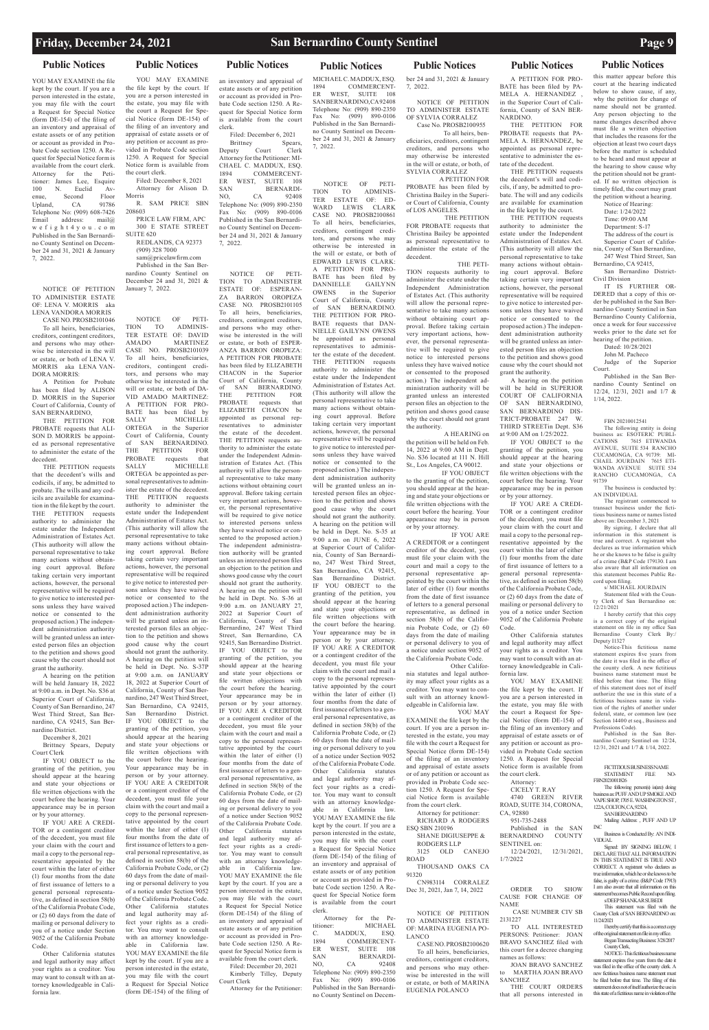YOU MAY EXAMINE the file kept by the court. If you are a person interested in the estate, you may file with the court a Request for Special Notice (form DE-154) of the filing of an inventory and appraisal of estate assets or of any petition or account as provided in Probate Code section 1250. A Request for Special Notice form is available from the court clerk. Attorney for the Petitioner: James Lee, Esquire 100 N. Euclid Avenue, Second Floor<br>Upland, CA 91786 Upland, Telephone No: (909) 608-7426<br>Email address:  $mail(@)$ address: w e f i g h t 4 y o u . c o m Published in the San Bernardino County Sentinel on December 24 and 31, 2021 & January 7, 2022.

NOTICE OF PETITION TO ADMINISTER ESTATE OF: LENA V. MORRIS aka LENA VANDORA MORRIS CASE NO. PROSB2101046

To all heirs, beneficiaries, creditors, contingent creditors, and persons who may otherwise be interested in the will or estate, or both of LENA V. MORRIS aka LENA VAN-DORA MORRIS:

A Petition for Probate has been filed by ALISON D. MORRIS in the Superior Court of California, County of SAN BERNARDINO,

THE PETITION FOR PROBATE requests that ALI-SON D. MORRIS be appointed as personal representative to administer the estate of the decedent.

THE PETITION requests that the decedent's wills and codicils, if any, be admitted to probate. The wills and any codicils are available for examination in the file kept by the court. THE PETITION requests authority to administer the estate under the Independent Administration of Estates Act. (This authority will allow the personal representative to take many actions without obtaining court approval. Before taking certain very important actions, however, the personal representative will be required to give notice to interested persons unless they have waived notice or consented to the proposed action.) The independent administration authority will be granted unless an interested person files an objection to the petition and shows good cause why the court should not grant the authority.

A hearing on the petition will be held January 18, 2022 at 9:00 a.m. in Dept. No. S36 at Superior Court of California, County of San Bernardino, 247 West Third Street, San Bernardino, CA 92415, San Bernardino District.

December 8, 2021 Brittney Spears, Deputy Court Clerk

IF YOU OBJECT to the granting of the petition, you should appear at the hearing and state your objections or file written objections with the court before the hearing. Your

appearance may be in person or by your attorney.

IF YOU ARE A CREDI-TOR or a contingent creditor of the decedent, you must file your claim with the court and mail a copy to the personal representative appointed by the court within the later of either (1) four months from the date of first issuance of letters to a general personal representative, as defined in section 58(b) of the California Probate Code, or (2) 60 days from the date of mailing or personal delivery to you of a notice under Section 9052 of the California Probate Code.

Other California statutes and legal authority may affect your rights as a creditor. You may want to consult with an attorney knowledgeable in California law.

NOTICE OF PETI-<br>TION TO ADMINIS-TO ADMINIS-TER ESTATE OF: DAVID AMADO MARTINEZ CASE NO. PROSB2101039 To all heirs, beneficiaries, creditors, contingent creditors, and persons who may otherwise be interested in the will or estate, or both of DA-VID AMADO MARTINEZ: A PETITION FOR PRO-BATE has been filed by SALLY MICHELLE ORTEGA in the Superior Court of California, County of SAN BERNARDINO.<br>THE PETITION FOR PETITION FOR PROBATE requests that SALLY MICHELLE ORTEGA be appointed as personal representatives to administer the estate of the decedent. THE PETITION requests authority to administer the estate under the Independent Administration of Estates Act. (This authority will allow the personal representative to take many actions without obtaining court approval. Before taking certain very important actions, however, the personal representative will be required to give notice to interested persons unless they have waived notice or consented to the proposed action.) The independent administration authority will be granted unless an interested person files an objection to the petition and shows good cause why the court should not grant the authority. A hearing on the petition will be held in Dept. No. S-37P at 9:00 a.m. on JANUARY 18, 2022 at Superior Court of California, County of San Bernardino, 247 West Third Street, San Bernardino, CA 92415, San Bernardino District. IF YOU OBJECT to the granting of the petition, you should appear at the hearing and state your objections or file written objections with the court before the hearing. Your appearance may be in person or by your attorney. IF YOU ARE A CREDITOR or a contingent creditor of the decedent, you must file your claim with the court and mail a copy to the personal representative appointed by the court within the later of either (1) four months from the date of first issuance of letters to a general personal representative, as defined in section 58(b) of the California Probate Code, or (2) 60 days from the date of mailing or personal delivery to you of a notice under Section 9052 of the California Probate Code. Other California statutes and legal authority may affect your rights as a creditor. You may want to consult with an attorney knowledgeable in California law. YOU MAY EXAMINE the file kept by the court. If you are a person interested in the estate, you may file with the court a Request for Special Notice (form DE-154) of the filing of

### **Public Notices Public Notices Public Notices Public Notices Public Notices Public Notices Public Notices** YOU MAY EXAMINE

Brittney Spears,<br>
buty Court Clerk Deputy Court Attorney for the Petitioner: MI-CHAEL C. MADDUX, ESQ. 1894 COMMERCENT-ER WEST, SUITE 108 SAN BERNARDI-NO, CA 92408 Telephone No: (909) 890-2350 Fax No: (909) 890-0106 Published in the San Bernardino County Sentinel on December 24 and 31, 2021 & January 7, 2022.

the file kept by the court. If you are a person interested in the estate, you may file with the court a Request for Special Notice (form DE-154) of the filing of an inventory and appraisal of estate assets or of any petition or account as provided in Probate Code section 1250. A Request for Special Notice form is available from the court clerk. Filed: December 8, 2021

Attorney for Alison D. Morris R. SAM PRICE SBN 208603

PRICE LAW FIRM, APC 300 E STATE STREET SUITE 620

REDLANDS, CA 92373 (909) 328 7000 sam@pricelawfirm.com

Published in the San Bernardino County Sentinel on December 24 and 31, 2021 & January 7, 2022.

MICHAEL C. MADDUX, ESQ.<br>1894 COMMERCENT-1894 COMMERCENT-<br>ER WEST, SUITE 108 WEST, SUITE 108 SAN BERNARDINO, CA92408 Telephone No: (909) 890-2350 Fax No: (909) 890-0106 Published in the San Bernardino County Sentinel on December 24 and 31, 2021 & January 7, 2022.

an inventory and appraisal of estate assets or of any petition or account as provided in Probate Code section 1250. A Request for Special Notice form is available from the court clerk. Filed: December 6, 2021

> notice or consented to the proposed action.) The independent administration authority will be granted unless an interested person files an objection to the petition and shows good cause why the court should not Bernardino County California, once a week for four successive weeks prior to the date set for hearing of the petition. Dated: 10/28/2021 John M. Pacheco Judge of the Superior

NOTICE OF PETI-TION TO ADMINISTER ESTATE OF: ESPERAN-ZA BARRON OROPEZA CASE NO. PROSB2101105 To all heirs, beneficiaries, creditors, contingent creditors, and persons who may otherwise be interested in the will or estate, or both of ESPER-ANZA BARRON OROPEZA: A PETITION FOR PROBATE has been filed by ELIZABETH CHACON in the Superior Court of California, County of SAN BERNARDINO. THE PETITION FOR PROBATE requests that ELIZABETH CHACON be appointed as personal representatives to administer the estate of the decedent. THE PETITION requests authority to administer the estate under the Independent Administration of Estates Act. (This authority will allow the personal representative to take many actions without obtaining court approval. Before taking certain very important actions, however, the personal representative will be required to give notice to interested persons unless they have waived notice or consented to the proposed action.) The independent administration authority will be granted unless an interested person files an objection to the petition and shows good cause why the court should not grant the authority. A hearing on the petition will be held in Dept. No. S-36 at 9:00 a.m. on JANUARY 27, 2022 at Superior Court of California, County of San Bernardino, 247 West Third Street, San Bernardino, CA 92415, San Bernardino District. IF YOU OBJECT to the granting of the petition, you should appear at the hearing and state your objections or file written objections with the court before the hearing. Your appearance may be in person or by your attorney. IF YOU ARE A CREDITOR or a contingent creditor of the decedent, you must file your claim with the court and mail a copy to the personal representative appointed by the court within the later of either (1) four months from the date of first issuance of letters to a general personal representative, as defined in section 58(b) of the California Probate Code, or (2) 60 days from the date of mailing or personal delivery to you of a notice under Section 9052 of the California Probate Code. Other California statutes and legal authority may affect your rights as a creditor. You may want to consult with an attorney knowledgeable in California law. YOU MAY EXAMINE the file kept by the court. If you are a person interested in the estate, you may file with the court a Request for Special Notice (form DE-154) of the filing of an inventory and appraisal of estate assets or of any petition or account as provided in Probate Code section 1250. A Request for Special Notice form is available from the court clerk. Filed: December 20, 2021 Kimberly Tilley, Deputy Court Clerk Attorney for the Petitioner:

FICTITIOUS BUSINESS NAME<br>STATEMENT FILE NO-STATEMENT FILE FBN20210011826

The following person(s) is(are) doing business as: PUFF AND UP SMOKE AND VAPE SHOP, 1705 E. WASHINGTON ST 122A, COLTON, CA, 92324, **SAN BERNARDINO** Mailing Address: , PUFF AND UP INC

> Business is Conducted By: AN INDI-VIDUAL.

Signed: BY SIGNING BELOW I DECLARE THAT ALL INFORMATION IN THIS STATEMENT IS TRUE AND CORRECT. A registrant who declares as true information, which he or she knows to be false, is guilty of a crime. (B&P Code 17913) I am also aware that all information on this statement becomes Public Record upon filing. s/DEEP SHANKAR SUBEDI

NOTICE OF PETI-TION TO ADMINIS-TER ESTATE OF: ED-WARD LEWIS CLARK CASE NO. PROSB2100861 To all heirs, beneficiaries, creditors, contingent creditors, and persons who may otherwise be interested in the will or estate, or both of EDWARD LEWIS CLARK: A PETITION FOR PRO-BATE has been filed by DANNIELLE GAILYNN OWENS in the Superior Court of California, County of SAN BERNARDINO. THE PETITION FOR PRO-BATE requests that DAN-NIELLE GAILYNN OWENS be appointed as personal representatives to administer the estate of the decedent. THE PETITION requests authority to administer the estate under the Independent Administration of Estates Act. (This authority will allow the personal representative to take many actions without obtaining court approval. Before taking certain very important actions, however, the personal representative will be required to give notice to interested persons unless they have waived notice or consented to the proposed action.) The independent administration authority will be granted unless an interested person files an objection to the petition and shows good cause why the court should not grant the authority. A hearing on the petition will be held in Dept. No. S-35 at 9:00 a.m. on JUNE 6, 2022 at Superior Court of California, County of San Bernardino, 247 West Third Street, San Bernardino, CA 92415, San Bernardino District. IF YOU OBJECT to the granting of the petition, you should appear at the hearing and state your objections or file written objections with the court before the hearing. Your appearance may be in person or by your attorney. IF YOU ARE A CREDITOR or a contingent creditor of the decedent, you must file your claim with the court and mail a copy to the personal representative appointed by the court within the later of either (1) four months from the date of first issuance of letters to a general personal representative, as defined in section 58(b) of the California Probate Code, or (2) 60 days from the date of mailing or personal delivery to you of a notice under Section 9052 of the California Probate Code. Other California statutes and legal authority may affect your rights as a creditor. You may want to consult with an attorney knowledgeable in California law. YOU MAY EXAMINE the file kept by the court. If you are a person interested in the estate, you may file with the court a Request for Special Notice (form DE-154) of the filing of an inventory and appraisal of estate assets or of any petition or account as provided in Probate Code section 1250. A Request for Special Notice form is available from the court clerk. Attorney for the Pe-<br>titioner: MICHAEL MICHAEL<br>K, ESO. C. MADDUX,<br>1894 COMMI COMMERCENT-ER WEST, SUITE 108 SAN BERNARDI-NO, CA 92408 Telephone No: (909) 890-2350 Fax No: (909) 890-0106 Published in the San Bernardino County Sentinel on Decem-

ber 24 and 31, 2021 & January

7, 2022.

NOTICE OF PETITION TO ADMINISTER ESTATE OF SYLVIA CORRALEZ Case No. PROSB2100955

 To all heirs, beneficiaries, creditors, contingent creditors, and persons who may otherwise be interested

in the will or estate, or both, of SYLVIA CORRALEZ A PETITION FOR PROBATE has been filed by

Christina Bailey in the Superior Court of California, County of LOS ANGELES. THE PETITION

FOR PROBATE requests that Christina Bailey be appointed as personal representative to administer the estate of the decedent.

 THE PETI-TION requests authority to administer the estate under the Independent Administration of Estates Act. (This authority will allow the personal representative to take many actions without obtaining court approval. Before taking certain very important actions, however, the personal representative will be required to give notice to interested persons unless they have waived notice or consented to the proposed action.) The independent administration authority will be granted unless an interested person files an objection to the petition and shows good cause why the court should not grant the authority.

 A HEARING on the petition will be held on Feb. 14, 2022 at 9:00 AM in Dept. No. S<sub>36</sub> located at 111 N. Hill St., Los Angeles, CA 90012.

 IF YOU OBJECT to the granting of the petition, you should appear at the hearing and state your objections or file written objections with the court before the hearing. Your appearance may be in person or by your attorney.

 IF YOU ARE A CREDITOR or a contingent creditor of the decedent, you must file your claim with the court and mail a copy to the personal representative appointed by the court within the later of either (1) four months from the date of first issuance of letters to a general personal representative, as defined in section 58(b) of the California Probate Code, or (2) 60 days from the date of mailing or personal delivery to you of a notice under section 9052 of the California Probate Code.

 Other California statutes and legal authority may affect your rights as a creditor. You may want to consult with an attorney knowledgeable in California law.

EUGENIA POLANCO

A PETITION FOR PRO-BATE has been filed by PA-MELA A. HERNANDEZ , in the Superior Court of California, County of SAN BER-NARDINO.

THE PETITION FOR PROBATE requests that PA-MELA A. HERNANDEZ, be appointed as personal representative to administer the estate of the decedent.

THE PETITION requests the decedent's will and codicils, if any, be admitted to probate. The will and any codicils are available for examination in the file kept by the court.

grant the authority.

 YOU MAY EXAMINE the file kept by the court. If you are a person interested in the estate, you may file with the court a Request for Special Notice (form DE-154) of the filing of an inventory and appraisal of estate assets or of any petition or account as provided in Probate Code section 1250. A Request for Special Notice form is available from the court clerk. Attorney for petitioner: RICHARD A RODGERS ESQ SBN 210196 SHANE DIGIUSEPPE  $\&$ RODGERS LLP 3125 OLD CANEJO ROAD THOUSAND OAKS CA 91320 CN983114 CORRALEZ Dec 31, 2021, Jan 7, 14, 2022 NOTICE OF PETITION TO ADMINISTER ESTATE OF: MARINA EUGENIA PO-LANCO CASE NO. PROSB2100620 To all heirs, beneficiaries, creditors, contingent creditors, and persons who may otherwise be interested in the will or estate, or both of MARINA the court a Request for Special Notice (form DE-154) of the filing of an inventory and appraisal of estate assets or of any petition or account as provided in Probate Code section 1250. A Request for Special Notice form is available from the court clerk. Attorney: CICELY T. RAY 4740 GREEN RIVER ROAD, SUITE 314, CORONA, CA, 92880 951-735-2488 Published in the SAN BERNARDINO COUNTY SENTINEL on: 12/24/2021, 12/31/2021, 1/7/2022 ORDER TO SHOW CAUSE FOR CHANGE OF NAME CASE NUMBER CIV SB 2131227 TO ALL INTERESTED PERSONS: Petitioner: JOAN BRAVO SANCHEZ filed with this court for a decree changing names as follows: JOAN BRAVO SANCHEZ to MARTHA JOAN BRAVO SANCHEZ

COURT OF CALIFORNIA OF SAN BERNARDINO, SAN BERNARDINO DIS-TRICT-PROBATE 247 THIRD STREETin Dept. S36 at 9:00 AM on 1/25/2022. IF YOU OBJECT to the granting of the petition, you should appear at the hearing and state your objections or file written objections with the court before the hearing. Your appearance may be in person or by your attorney.

IF YOU ARE A CREDI-TOR or a contingent creditor of the decedent, you must file your claim with the court and mail a copy to the personal representative appointed by the court within the later of either (1) four months from the date of first issuance of letters to a general personal representative, as defined in section 58(b) of the California Probate Code, or (2) 60 days from the date of mailing or personal delivery to you of a notice under Section 9052 of the California Probate

Code.

Other California statutes and legal authority may affect your rights as a creditor. You may want to consult with an attorney knowledgeable in Cali-

THE PETITION requests authority to administer the estate under the Independent Administration of Estates Act. (This authority will allow the personal representative to take many actions without obtain-Date: 1/24/2022 Time: 09:00 AM Department: S-17 The address of the court is Superior Court of California, County of San Bernardino, 247 West Third Street, San

fornia law.

YOU MAY EXAMINE the file kept by the court. If you are a person interested in the estate, you may file with

ing court approval. Before taking certain very important actions, however, the personal representative will be required to give notice to interested persons unless they have waived Bernardino, CA 92415, San Bernardino District-Civil Division IT IS FURTHER OR-DERED that a copy of this order be published in the San Bernardino County Sentinel in San

A hearing on the petition will be held in SUPERIOR Court. Published in the San Bernardino County Sentinel on

THE COURT ORDERS that all persons interested in

this matter appear before this court at the hearing indicated below to show cause, if any, why the petition for change of name should not be granted. Any person objecting to the name changes described above must file a written objection that includes the reasons for the objection at least two court days before the matter is scheduled to be heard and must appear at the hearing to show cause why the petition should not be granted. If no written objection is timely filed, the court may grant the petition without a hearing. Notice of Hearing:

12/24, 12/31, 2021 and 1/7 & 1/14, 2022.

### FBN 20210012541

The following entity is doing siness as: ESOTERIC PUBLI-CATIONS 7615 ETIWANDA AVENUE, SUITE 534 RANCHO CUCAMONGA, CA 91739: MI-CHAEL JOURDAIN 7615 ETI-WANDA AVENUE SUITE 534 RANCHO CUCAMONGA, CA 91739 The business is conducted by: AN INDIVIDUAL

The registrant commenced to transact business under the fictitious business name or names listed above on: December 3, 2021

By signing, I declare that all information in this statement is true and correct. A registrant who declares as true information which he or she knows to be false is guilty of a crime (B&P Code 179130. I am also aware that all information on this statement becomes Public Record upon filing.

s/ MICHAEL JOURDAIN

Statement filed with the Coun-Clerk of San Bernardino on 12/21/2021

I hereby certify that this copy is a correct copy of the original statement on file in my office San Bernardino County Clerk By:/ Deputy I1327

Notice-This fictitious name statement expires five years from the date it was filed in the office of the county clerk. A new fictitious business name statement must be filed before that time. The filing of this statement does not of itself authorize the use in this state of a fictitious business name in violation of the rights of another under federal, state, or common law (see Section 14400 et seq., Business and Professions Code).

Published in the San Bernardino County Sentinel on 12/24, 12/31, 2021 and 1/7 & 1/14, 2022.

This statement was filed with the County Clerk of SAN BERNARDINO on:

11/24/2021

I hereby certify that this is a correct copy of the original statement on file in my office. Began Transacting Business: 3/28/2017 County Clerk,

NOTICE- This fictitious business name statement expires five years from the date it was filed in the office of the county clerk. A new fictitious business name statement must be filed before that time. The filing of this statement does not of itself authorize the use in this state of a fictitious name in violation of the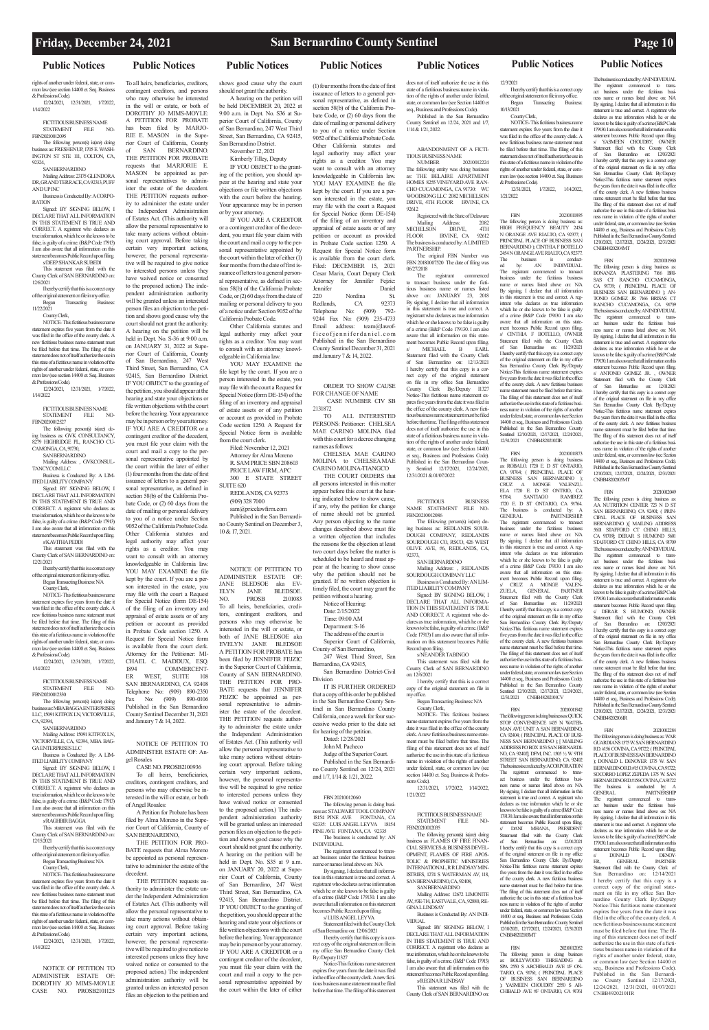### **Public Notices Public Notices**

### **Friday, December 24, 2021 San Bernardino County Sentinel Page 10**

rights of another under federal, state, or common law (see section 14400 et. Seq. Business & Professions Code). 12/24/2021, 12/31/2021, 1/7/2022, 1/14/2022

FICTITIOUS BUSINESS NAME<br>STATEMENT FILE NO- $\begin{tabular}{ll} \bf STATEMENT & \bf FILE \\ \end{tabular}$ 

**Public Notices Public Notices Public Notices Public Notices Public Notices**

**ANDUPINC** Business is Conducted By: A CORPO-RATION

FBN20210012095 The following person(s) is(are) doing business as: FRESHENUP, 1705 E. WASH-INGTON ST STE 111, COLTON, CA,

92324, SAN BERNARDINO Mailing Address: 23175 GLENDOR A DR, GRAND TERRACE, CA 92313, PUFF

Signed: BY SIGNING BELOW, I DECLARE THAT ALL INFORMATION IN THIS STATEMENT IS TRUE AND CORRECT. A registrant who declares as true information, which he or she knows to be false, is guilty of a crime. (B&P Code 17913) I am also aware that all information on this statement becomes Public Record upon filing. s/DEEP SHANKAR SUBEDI

The following person(s) is(are) doing business as: GVK CONSULTANCY, 8279 HIGHRIDGE PL, RANCHO CU-CAMONGA, CA, 91730,

**SAN BERNARDINO** Mailing Address: , GVKCONSUL-TANCYCOMLLC

This statement was filed with the County Clerk of SAN BERNARDINO on: 12/6/2021

I hereby certify that this is a correct copy of the original statement on file in my office. Began Transacting Business:

11/22/2021 County Clerk,

NOTICE- This fictitious business name statement expires five years from the date it was filed in the office of the county clerk. A new fictitious business name statement must be filed before that time. The filing of this statement does not of itself authorize the use in this state of a fictitious name in violation of the rights of another under federal, state, or com-

FICTITIOUS BUSINESS NAME<br>STATEMENT FILE NO.  $STATEMENT \qquad FILE$ FBN20210012330

The following person(s) is(are) doing **business as: MBA BAGGA ENTERPRISES** LLC, 15091 KITFOX LN, VICTORVILLE, CA, 92394,

Mailing Address: 15091 KITFOX LN, VICTORVILLE, CA, 92394, MBA BAG-**GA ENTERPRISES LLC** 

mon law (see section 14400 et. Seq. Business & Professions Code). 12/24/2021, 12/31/2021, 1/7/2022, 1/14/2022

FICTITIOUS BUSINESS NAME STATEMENT FILE NO-FBN20210012527

DECLARE THAT ALL INFORMATION IN THIS STATEMENT IS TRUE AND CORRECT. A registrant who declares as true information, which he or she knows to be false, is guilty of a crime. (B&P Code 17913) I am also aware that all information on this statement becomes Public Record upon filing.

Business is Conducted By: A LIM-ITED LIABILITY COMPANY

Signed: BY SIGNING BELOW, I DECLARE THAT ALL INFORMATION IN THIS STATEMENT IS TRUE AND CORRECT. A registrant who declares as true information, which he or she knows to be false, is guilty of a crime. (B&P Code 17913) I am also aware that all information on this statement becomes Public Record upon filing.

12/24/2021, 12/31/2021, 1/7/2022 1/14/2022

s/KAVITHA PEDDI This statement was filed with the

County Clerk of SAN BERNARDINO on: 12/21/2021 I hereby certify that this is a correct copy

of the original statement on file in my office. Began Transacting Business: N/A County Clerk,

pendent administration authority will be granted unless an interested person files an objection to the petition and shows good cause why the court should not grant the authority. A hearing on the petition will be held in Dept. No. S-36 at 9:00 a.m. on JANUARY 31, 2022 at Superior Court of California, County of San Bernardino, 247 West Third Street, San Bernardino, CA 92415, San Bernardino District. IF YOU OBJECT to the granting of the petition, you should appear at the hearing and state your objections or file written objections with the court before the hearing. Your appearance may be in person or by your attorney. IF YOU ARE A CREDITOR or a contingent creditor of the decedent. you must file your claim with the court and mail a copy to the personal representative appointed by the court within the later of either (1) four months from the date of first issuance of letters to a general personal representative, as defined in section 58(b) of the California Probate Code, or (2) 60 days from the date of mailing or personal delivery to you of a notice under Section 9052 of the California Probate Code. Other California statutes and legal authority may affect your rights as a creditor. You may want to consult with an attorney knowledgeable in California law. YOU MAY EXAMINE the file

NOTICE- This fictitious business name statement expires five years from the date it was filed in the office of the county clerk. A new fictitious business name statement must be filed before that time. The filing of this statement does not of itself authorize the use in this state of a fictitious name in violation of the rights of another under federal, state, or common law (see section 14400 et. Seq. Business & Professions Code). 12/24/2021, 12/31/2021, 1/7/2022,

1/14/2022

SAN BERNARDINO

Business is Conducted By: A LIM-ITED LIABILITY COMPANY Signed: BY SIGNING BELOW, I is available from the court clerk. Attorney for the Petitioner: MI-CHAEL C. MADDUX, ESQ. 1894 COMMERCENT-<br>ER WEST, SUITE 108 WEST,

### s/RAGHBIR BAGGA

This statement was filed with the County Clerk of SAN BERNARDINO on: 12/15/2021

I hereby certify that this is a correct copy of the original statement on file in my office. Began Transacting Business: N/A

### County Clerk,

NOTICE- This fictitious business name statement expires five years from the date it was filed in the office of the county clerk. A new fictitious business name statement must be filed before that time. The filing of this statement does not of itself authorize the use in this state of a fictitious name in violation of the rights of another under federal, state, or common law (see section 14400 et. Seq. Business & Professions Code).

NOTICE OF PETITION TO ADMINISTER ESTATE OF: DOROTHY JO MIMS-MOYLE CASE NO. PROSB2101125

To all heirs, beneficiaries, creditors, contingent creditors, and persons who may otherwise be interested in the will or estate, or both of DOROTHY JO MIMS-MOYLE: A PETITION FOR PROBATE has been filed by MARJO-RIE E. MASON in the Superior Court of California, County of SAN BERNARDINO. THE PETITION FOR PROBATE requests that MARJORIE E.

> SUITE 620 REDLANDS, CA 92373 (909) 328 7000

CHELSEA MAE CARINO MOLINA to CHELSEA MAE CARINO MOLINA-TIANGCO THE COURT ORDERS that

of the filing of an inventory and

MASON be appointed as personal representatives to administer the estate of the decedent. THE PETITION requests authority to administer the estate under the Independent Administration of Estates Act. (This authority will allow the personal representative to take many actions without obtaining court approval. Before taking certain very important actions, however, the personal representative will be required to give notice to interested persons unless they have waived notice or consented to the proposed action.) The inde-Kimberly Tilley, Deputy IF YOU OBJECT to the granting of the petition, you should appear at the hearing and state your objections or file written objections with the court before the hearing. Your appearance may be in person or by your attorney. IF YOU ARE A CREDITOR or a contingent creditor of the decedent, you must file your claim with the court and mail a copy to the personal representative appointed by the court within the later of either (1) four months from the date of first issuance of letters to a general personal representative, as defined in sec-

and January 7 & 14, 2022.

gel Rosales

CASE NO. PROSB2100936 To all heirs, beneficiaries, creditors, contingent creditors, and persons who may otherwise be interested in the will or estate, or both

of Angel Rosales:

A Petition for Probate has been filed by Alma Moreno in the Superior Court of California, County of SAN BERNARDINO,

THE PETITION FOR PRO-BATE requests that Alma Moreno be appointed as personal representative to administer the estate of the decedent.

ABANDONMENT OF A FICTI-TIOUS BUSINESS NAME<br>NUMBER 20210012224 NUMBER 20210012224 The following entity was doing business as: THE BELAIRE APARTMENT HOMES 8255 VINEYARD AVE RAN-CHO CUCAMONGA, CA 91730: WC WOODSONG LLC 2082 MICHELSON DRIVE, 4TH FLOOR IRVINE, CA

THE PETITION requests authority to administer the estate under the Independent Administration of Estates Act. (This authority will allow the personal representative to take many actions without obtaining court approval. Before taking certain very important actions, however, the personal representative will be required to give notice to interested persons unless they have waived notice or consented to the proposed action.) The independent administration authority will be granted unless an interested person files an objection to the petition and

Registered with the State of Delaware<br>Mailing Address: 2082 Mailing Address: 2082 MICHELSON DRIVE, 4TH FLOOR IRVINE, CA 92612 The business is conducted by: A LIMITED

The original FBN Number was FBN 20180007520 The date of filing was

registrant commenced to transact business under the fictitious business name or names listed above on: JANUARY 23, 2018 By signing, I declare that all information in this statement is true and correct. A registrant who declares as true information which he or she knows to be false is guilty of a crime (B&P Code 179130. I am also aware that all information on this statement becomes Public Record upon filing.<br>
s/
MICHAEL
B
EARL MICHAEL Statement filed with the County Clerk of San Bernardino on: 12/13/2021 I hereby certify that this copy is a correct copy of the original statement on file in my office San Bernardino County Clerk By:/Deputy I1327 Notice-This fictitious name statement expires five years from the date it was filed in the office of the county clerk. A new fictitious business name statement must be filed before that time. The filing of this statement does not of itself authorize the use in this state of a fictitious business name in violation of the rights of another under federal, state, or common law (see Section 14400 et seq., Business and Professions Code). Published in the San Bernardino Coun-Sentinel 12/17/2021, 12/24/2021,

shows good cause why the court should not grant the authority. A hearing on the petition will be held DECEMBER 20, 2022 at 9:00 a.m. in Dept. No. S36 at Superior Court of California, County of San Bernardino, 247 West Third Street, San Bernardino, CA 92415, San Bernardino District. November 12, 2021

kept by the court. If you are a person interested in the estate, you may file with the court a Request for Special Notice (form DE-154) appraisal of estate assets or of any petition or account as provided in Probate Code section 1250. A Request for Special Notice form SAN BERNARDINO, CA 92408 Telephone No: (909) 890-2350 Fax No: (909) 890-0106 Published in the San Bernardino County Sentinel December 31, 2021 NOTICE OF PETITION TO ADMINISTER ESTATE OF: An-NOTICE OF PETITION TO ADMINISTER ESTATE OF: JANE BLEDSOE aka EV-ELYN JANE BLEDSOE. NO. PROSB 2101083 To all heirs, beneficiaries, creditors, contingent creditors, and persons who may otherwise be interested in the will or estate, or both of JANE BLEDSOE aka EVELYN JANE BLEDSOE A PETITION FOR PROBATE has been filed by JENNIFER FEJZIC in the Superior Court of California, County of SAN BERNARDINO. THE PETITION FOR PRO-BATE requests that JENNIFER FEJZIC be appointed as personal representative to administer the estate of the decedent. THE PETITION requests authority to administer the estate under the Independent Administration of Estates Act. (This authority will allow the personal representative to take many actions without obtaining court approval. Before taking

The following person(s) is(are) dobusiness as: REDLANDS SOUR-DOUGH COMPANY, REDLANDS SOURDOUGH CO, RSCO, 426 WEST OLIVE AVE, #6, REDLANDS, CA,

Signed: BY SIGNING BELOW I DECLARE THAT ALL INFORMA-TION IN THIS STATEMENT IS TRUE AND CORRECT. A registrant who declares as true information, which he or she knows to be false, is guilty of a crime. (B&P Code 17913) I am also aware that all information on this statement becomes Public

tion 58(b) of the California Probate Code, or (2) 60 days from the date of mailing or personal delivery to you of a notice under Section 9052 of the California Probate Code. Other California statutes and legal authority may affect your rights as a creditor. You may want to consult with an attorney knowl-

edgeable in California law. YOU MAY EXAMINE the file kept by the court. If you are a person interested in the estate, you

> FICTITIOUS BUSINESS NAME<br>STATEMENT FILE NO-STATEMENT FBN20210012035

Mailing Address: 12672 LIMONITE AV, #3E-714, EASTVALE, CA, 92880, RE-**GINA LLINDSAY** 

Business is Conducted By: AN INDI-VIDUAL.

may file with the court a Request for Special Notice (form DE-154) of the filing of an inventory and appraisal of estate assets or of any petition or account as provided in Probate Code section 1250. A Request for Special Notice form is available from the court clerk. Filed: November 12, 2021

Attorney for Alma Moreno R. SAM PRICE SBN 208603 PRICE LAW FIRM, APC 300 E STATE STREET

sam@pricelawfirm.com Published in the San Bernardino County Sentinel on December 3, 10 & 17, 2021.

certain very important actions, however, the personal representative will be required to give notice to interested persons unless they have waived notice or consented

to the proposed action.) The independent administration authority will be granted unless an interested person files an objection to the petition and shows good cause why the court should not grant the authority. A hearing on the petition will be held in Dept. No. S35 at 9 a.m. on JANUARY 20, 2022 at Superior Court of California, County of San Bernardino, 247 West Third Street, San Bernardino, CA 92415, San Bernardino District. IF YOU OBJECT to the granting of the petition, you should appear at the hearing and state your objections or file written objections with the court before the hearing. Your appearance may be in person or by your attorney. IF YOU ARE A CREDITOR or a contingent creditor of the decedent. you must file your claim with the court and mail a copy to the personal representative appointed by the court within the later of either

authorize the use in this state of a fictitious business name in violation of the rights of another under federal, state, or common law (see Section 14400 et seq., Business and Professions Code). Published in the San Bernardino County Sentinel 12/10/2021, 12/17/2021, 12/24/2021, 12/31/2021 CNBB48202101CV

(1) four months from the date of first issuance of letters to a general personal representative, as defined in section 58(b) of the California Probate Code, or (2) 60 days from the date of mailing or personal delivery to you of a notice under Section 9052 of the California Probate Code. Other California statutes and legal authority may affect your rights as a creditor. You may want to consult with an attorney knowledgeable in California law. YOU MAY EXAMINE the file kept by the court. If you are a person interested in the estate, you may file with the court a Request for Special Notice (form DE-154) of the filing of an inventory and appraisal of estate assets or of any petition or account as provided in Probate Code section 1250. A Request for Special Notice form is available from the court clerk. Filed: DECEMBER 15, 2021 Cesar Marin, Court Deputy Clerk Attorney for Jennifer Fejzic: Jennifer Daniel 220 Nordina St.<br>Redlands. CA 92373 Redlands, CA 92373<br>Telephone No: (909) 792-Telephone 9244 Fax No: (909) 235-4733 Email address: team@lawoffice ofienniferdaniel.com Published in the San Bernardino County Sentinel December 31, 2021 and January 7 & 14, 2022.

### ORDER TO SHOW CAUSE FOR CHANGE OF NAME CASE NUMBER CIV SB

2131872 TO ALL INTERESTED PERSONS: Petitioner: CHELSEA MAE CARINO MOLINA filed with this court for a decree changing names as follows:

all persons interested in this matter appear before this court at the hearing indicated below to show cause, if any, why the petition for change of name should not be granted. Any person objecting to the name changes described above must file a written objection that includes the reasons for the objection at least two court days before the matter is scheduled to be heard and must appear at the hearing to show cause why the petition should not be granted. If no written objection is timely filed, the court may grant the

petition without a hearing. Notice of Hearing: Date: 2/15/2022

Time: 09:00 AM

Department: S-16 The address of the court is

Superior Court of California, County of San Bernardino, 247 West Third Street, San

Bernardino, CA 92415, San Bernardino District-Civil Division

IT IS FURTHER ORDERED that a copy of this order be published in the San Bernardino County Sentinel in San Bernardino County California, once a week for four successive weeks prior to the date set for hearing of the petition.

Dated: 12/28/2021

John M. Pacheco Judge of the Superior Court. Published in the San Bernardino County Sentinel on 12/24, 2021 and 1/7, 1/14 & 1/21, 2022.

FBN 20210012060

The following person is doing business as: STALWART TOOL COMPANY 18154 PINE AVE FONTANA, CA 18154 TINE AVE TONTAINA, CA PINE AVE FONTANA, CA 92335 The business is conducted by: AN INDIVIDUAL

The registrant commenced to transact business under the fictitious business name or names listed above on: N/A

By signing, I declare that all information in this statement is true and correct. A registrant who declares as true information which he or she knows to be false is guilty of a crime (B&P Code 179130. I am also aware that all information on this state becomes Public Record upon filing.

s/ LUIS ANGEL LEYVA Statement filed with the County Clerk of San Bernardino on: 12/06/2021

I hereby certify that this copy is a correct copy of the original statement on file in my office San Bernardino County Clerk By:/Deputy I1327

Notice-This fictitious name statement res five years from the date it was filed in the office of the county clerk. A new fictitious business name statement must be filed before that time. The filing of this statement

does not of itself authorize the use in this state of a fictitious business name in violation of the rights of another under federal, state, or common law (see Section 14400 et seq., Business and Professions Code). Published in the San Bernardino County Sentinel on 12/24, 2021 and 1/7,

1/14 & 1/21, 2022.

92612

PARTNERSHIP.

06/27/2018

12/31/2021 & 01/07/2022

FICTITIOUS BUSINESS NAME STATEMENT FILE NO-

FBN20210012086

92373,

SAN BERNARDINO Mailing Address: , REDLANDS SOURDOUGH COMPANY LLC

Business is Conducted By: AN LIM-ITED LIABILITY COMPANY

on: 12/6/2021 I hereby certify that this is a correct

Record upon filing. s/NEANDER TABINGO This statement was filed with the County Clerk of SAN BERNARDINO Began Transacting Business: N/A NOTICE- This fictitious business

me statement expires five years from the

copy of the original statement on file in my office.

County Clerk,

date it was filed in the office of the county clerk. A new fictitious business name statement must be filed before that time. The filing of this statement does not of itself authorize the use in this state of a fictitious name in violation of the rights of another under federal, state, or common law (see section 14400 et. Seq. Business & Professions Code).

12/31/2021, 1/7/2022, 1/14/2022,

1/21/2022

The following person(s) is(are) doing business as: FLAMES OF FIRE FINAN-CIAL SERVICES & BUSINESS DEVEL-OPMENT, FLAMES OF FIRE APOS-TOLIC & PROPHETIC MINISTRIES INTERNATIONAL, R R LINDSAY MIN-ISTRIES, 1274 S WATERMAN AV, 118, SAN BERNARDINO, CA, 92408,

SAN BERNARDINO

Signed: BY SIGNING BELOW, I DECLARE THAT ALL INFORMATION IN THIS STATEMENT IS TRUE AND CORRECT. A registrant who declares as true information, which he or she knows to be false, is guilty of a crime. (B&P Code 17913) I am also aware that all information on this statement becomes Public Record upon filing. s/REGINA R LINDSAY

This statement was filed with the County Clerk of SAN BERNARDINO on:

### 12/3/2021 I hereby certify that this is a correct copy of the original statement on file in my office. Began Transacting Business: 10/13/2021

County Clerk, NOTICE- This fictitious business name

statement expires five years from the date it was filed in the office of the county clerk. A new fictitious business name statement must be filed before that time. The filing of this statement does not of itself authorize the use in this state of a fictitious name in violation of the rights of another under federal, state, or common law (see section 14400 et. Seq. Business & Professions Code). 12/31/2021, 1/7/2022, 1/14/2022,

1/21/2022

FBN 20210011895 The following person is doing business as: HIGH FREQUENCY BEAUTY 2454 N ORANGE AVE RIALTO, CA 92377; ( PRINCIPAL PLACE OF BUSINESS SAN BERNARDINO ); CINTHIA F BOTELLO 2454 N ORANGE AVE RIALTO, CA 92377.

The business is conduct-ed by: AN INDIVIDUAL. The registrant commenced to transact business under the fictitious business name or names listed above on: N/A By signing, I declare that all information in this statement is true and correct. A reg-istrant who declares as true information which he or she knows to be false is guilty of a crime (B&P Code 179130. I am also aware that all information on this statement becomes Public Record upon filing. s/ CINTHIA F BOTELLO, OWNER Statement filed with the County Clerk of San Bernardino on: 11/29/2021 I hereby certify that this copy is a correct copy of the original statement on file in my office San Bernardino County Clerk By:/Deputy Notice-This fictitious name statement expires five years from the date it was filed in the office of the county clerk. A new fictitious business name statement must be filed before that time. The filing of this statement does not of itself authorize the use in this state of a fictitious business name in violation of the rights of another under federal, state, or common law (see Section 14400 et seq., Business and Professions Code). Published in the San Bernardino Count Sentinel 12/10/2021, 12/17/2021, 12/24/2021, 12/31/2021 CNBB48202102IR

FBN 20210011873 The following person is doing business as: ROBALO. 1720 E. D ST ONTARIO, 91764; (PRINCIPAL PLACE BUSINESS SAN BERNARDINO CRUZ A MONGE VALENZU-ELA 1720 E. D ST ONTRIO, CA 91764; SANTIAGO RAMIREZ 1720 E. D ST ONTARIO, CA 91764. The business is conducted by: A GENERAL PARTNERSHIP. The registrant commenced to transact business under the fictitious business name or names listed above on: N/A By signing, I declare that all information in this statement is true and correct. A registrant who declares as true information which he or she knows to be false is guilty of a crime (B&P Code 179130. I am also aware that all information on this statement becomes Public Record upon filing. s/ CRUZ A MONGE VALEN-ZUELA, GENERAL PARTNER Statement filed with the County Clerk of San Bernardino on: 11/29/2021 I hereby certify that this copy is a correct copy of the original statement on file in my office San Bernardino County Clerk By:/Deputy Notice-This fictitious name statement expires five years from the date it was filed in the office of the county clerk. A new fictitious business name statement must be filed before that time. The filing of this statement does not of itself

FBN 20210011942 The following person is doing business as: QUICK STOP CONVENIENCE 1435 N WATER-MAN AVE UNIT A SAN BERNARDINO, CA 92404; ( PRINCIPAL PLACE OF BUSI-NESS SAN BERNARDINO ); [ MAILING ADDRESS P.O BOX 1153 SAN BERNARDI-NO, CA 92402]; DFM, INC. 1505 ½ W 9TH STREET SAN BERNARDINO, CA 92402 The business is conducted by: A CORPORATION The registrant commenced to trans-act business under the fictitious business name or names listed above on: N/A By signing, I declare that all information in this statement is true and correct. A registrant who<br>declares as true information which be or she declares as true information which he or she knows to be false is guilty of a crime (B&P Code 179130. I am also aware that all information on this statement becomes Public Record upon filing. s/ DANI MHANA, PRESIDENT Statement filed with the County Clerk of San Bernardino on: 12/01/2021 reby certify that this copy is a correct copy of the original statement on file in my office San Bernardino County Clerk By:/Deputy Notice-This fictitious name statement expires five years from the date it was filed in the office of the county clerk. A new fictitious business name statement must be filed before that time. The filing of this statement does not of itself authorize the use in this state of a fictitious busi-ness name in violation of the rights of another under federal, state, or common law (see Section 14400 et seq., Business and Professions Code). Published in the San Bernardino County Sentinel 12/10/2021, 12/17/2021, 12/24/2021, 12/31/2021 CNBB48202103MT

The business is conducted by: AN INDIVIDUAL

FBN 20210012052 The following person is doing business as: BOLLYWOOD THREADING & SPA 2550 S ARCHIBALD AVE #F ON-TARIO, CA 91761; ( PRINCIPAL PLACE OF BUSINESS SAN BERNARDINO ); YASMEEN CHOUDRY 2550 S AR-CHIBALD AVE #F ONTARIO, CA 91761

The registrant commenced to trans-act business under the fictitious business name or names listed above on: N/A By signing, I declare that all information in this statement is true and correct. A registrant who declares as true information which he or she ks to be false is guilty of a crime (B&P Code 179130. I am also aware that all information on this statement becomes Public Record upon filing. s/ YASMEEN CHOUDRY, OWNER Statement filed with the County Clerk of San Bernardino on: 12/03/2021 I hereby certify that this copy is a correct copy of the original statement on file in my office San Bernardino County Clerk By:/Deputy Notice-This fictitious name statement expires five years from the date it was filed in the office of the county clerk. A new fictitious business name statement must be filed before that time. The filing of this statement does not of itself authorize the use in this state of a fictitious business name in violation of the rights of another under federal, state, or common law (see Section 14400 et seq., Business and Professions Code). Published in the San Bernardino County Sentinel 12/10/2021, 12/17/2021, 12/24/2021, 12/31/2021

CNBB48202104MT

FBN 20210011960 The following person is doing business as: BONANZA PLASTERING 7166 BRI-BONANZA PLASTERING 7166 BRI-<br>SAS CT RANCHO CUCAMONGA, CA 91739; ( PRINCIPAL PLACE OF BUSINESS SAN BERNARDINO ); AN-TONIO GOMEZ JR 7166 BRISAS CT RANCHO CUCAMONGA, CA 91739 The business is conducted by: AN INDIVIDUAL The registrant commenced to transact business under the fictitious business name or names listed above on: N/A By signing, I declare that all information in this ment is true and correct. A registrant who declares as true information which he or she knows to be false is guilty of a crime (B&P Code 179130. I am also aware that all information on this statement becomes Public Record upon filing. s/ ANTONIO GOMEZ JR. , OWNER Statement filed with the County Clerk San Bernardino on: 12012021 I hereby certify that this copy is a correct copy of the original statement on file in my office San Bernardino County Clerk By:/Deputy Notice-This fictitious name statement expires five years from the date it was filed in the office of the county clerk. A new fictitious business name statement must be filed before that time. The filing of this statement does not of itself authorize the use in this state of a fictitious business name in violation of the rights of another under federal, state, or common law (see Section 14400 et seq., Business and Professions Code). Published in the San Bernardino County Sentinel 12/10/2021, 12/17/2021, 12/24/2021, 12/31/2021 CNBB48202105MT

FBN 20210012049

The following person is doing business as: AA NUTRITION CENTER 723 N D ST SAN BERNARDINO, CA 92401; ( PRIN-CIPAL PLACE OF BUSINESS SAN BERNARDINO ),{ MAILING ADDRESS<br>5601 STAFFORD CT CHINO HILLS, 91709]; DERAR S HUMOND 5601 STAFFORD CT CHINO HILLS, CA 91709 The business is conducted by: AN INDIVIDUAL The registrant commenced to transact business under the fictitious business name or names listed above on: N/A By signing, I declare that all information in this statement is true and correct. A registrant who declares as true information which he or she knows to be false is guilty of a crime (B&P Code 179130. I am also aware that all information on this statement becomes Public Record upon filing.<br>s/ DERAR S HUMOND, OWNER  $s'$  DERAR S HUMOND, Statement filed with the County Clerk of San Bernardino on: 12/03/2021 I hereby certify that this copy is a correct copy of the original statement on file in my office San Bernardino County Clerk By:/Deputy Notice-This fictitious name statement expires five years from the date it was filed in the office of the county clerk. A new fictitious business name statement must be filed before that time. The filing of this statement does not of itself authorize the use in this state of a fictitious business name in violation of the rights of another under federal, state, or common law (see Section 14400 et seq., Business and Professions Code).

Published in the San Bernardino County Sentinel 12/10/2021, 12/17/2021, 12/24/2021, 12/31/2021 CNBB48202106IR

FBN 20210012284 The following person is doing business as: WAR GUARDIANS 1375 W. SAN BERNARDINO RD. #156 COVINA, CA 91722; ( PRINCIPAL PLACE OF BUSINESS SAN BERNARDINO ); DONALD L DENOYER 1375 W. SAN BERNARDINO RD. #15 COVINA, CA 91722; SOCORRO LOPEZ ZEPEDA 1375 W. SAN BERNARDINORD.#156COVINA, CA 91722 The business is conducted by: A GENERAL PARTNERSHIP The registrant commenced to transact business under the fictitious ness name or names listed above on: N/A By signing, I declare that all information in thi statement is true and correct. A registrant who declares as true information which he or she knows to be false is guilty of a crime (B&P Code 179130. I am also aware that all information on this statement becomes Public Record upon filing. s/ DONALD L. DENOY-ER, GENERAL PARTNER Statement filed with the County Clerk of San Bernardino on: 12/14/2021 I hereby certify that this copy is a correct copy of the original state-ment on file in my office San Bernardino County Clerk By:/Deputy Notice-This fictitious name statement expires five years from the date it was filed in the office of the county clerk. A new fictitious business name statement must be filed before that time. The filing of this statement does not of itself authorize the use in this state of a fictitious business name in violation of the rights of another under federal, state, or common law (see Section 14400 et seq., Business and Professions Code). Published in the San Bernardino County Sentinel 12/17/2021, 12/24/2021, 12/31/2021, 01/07/2021 CNBB49202101IR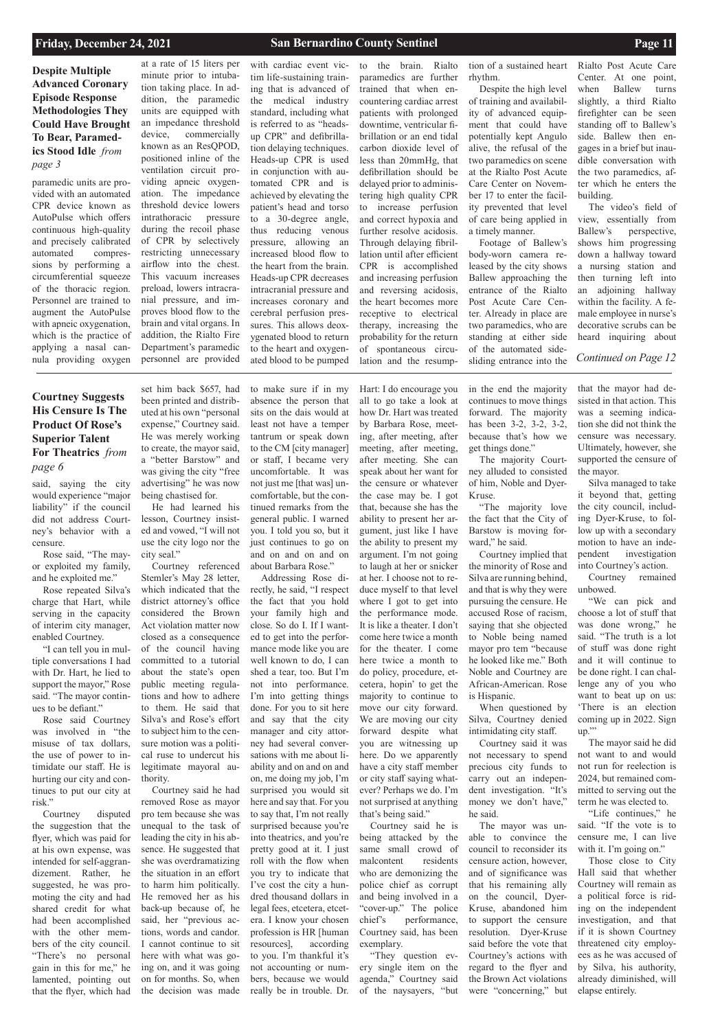*Continued on Page 12*

# **Courtney Suggests His Censure Is The Product Of Rose's Superior Talent For Theatrics** *from page 6*

### **Friday, December 24, 2021 San Bernardino County Sentinel Page 11**

**Despite Multiple Advanced Coronary Episode Response Methodologies They Could Have Brought To Bear, Paramedics Stood Idle** *from page 3*

said, saying the city would experience "major liability" if the council did not address Courtney's behavior with a censure.

Rose said, "The mayor exploited my family, and he exploited me."

Rose repeated Silva's charge that Hart, while serving in the capacity of interim city manager, enabled Courtney.

"I can tell you in multiple conversations I had with Dr. Hart, he lied to support the mayor," Rose said. "The mayor continues to be defiant."

Rose said Courtney was involved in "the misuse of tax dollars, the use of power to intimidate our staff. He is hurting our city and continues to put our city at risk."

Courtney disputed the suggestion that the flyer, which was paid for at his own expense, was intended for self-aggrandizement. Rather, he suggested, he was promoting the city and had shared credit for what had been accomplished with the other members of the city council. "There's no personal gain in this for me," he lamented, pointing out that the flyer, which had

set him back \$657, had been printed and distributed at his own "personal expense," Courtney said. He was merely working to create, the mayor said, a "better Barstow" and was giving the city "free advertising" he was now being chastised for.

He had learned his lesson, Courtney insisted and vowed, "I will not use the city logo nor the city seal."

Courtney referenced Stemler's May 28 letter, which indicated that the district attorney's office considered the Brown Act violation matter now closed as a consequence of the council having committed to a tutorial about the state's open public meeting regulations and how to adhere to them. He said that Silva's and Rose's effort to subject him to the censure motion was a political ruse to undercut his legitimate mayoral authority.

Courtney said he had moved Rose as mayor pro tem because she was unequal to the task of leading the city in his absence. He suggested that she was overdramatizing the situation in an effort to harm him politically. He removed her as his back-up because of, he said, her "previous actions, words and candor. I cannot continue to sit here with what was going on, and it was going on for months. So, when the decision was made

to make sure if in my absence the person that sits on the dais would at least not have a temper tantrum or speak down to the CM [city manager] or staff, I became very uncomfortable. It was not just me [that was] uncomfortable, but the continued remarks from the general public. I warned you. I told you so, but it just continues to go on and on and on and on about Barbara Rose."

> "We can pick and choose a lot of stuff that was done wrong," he said. "The truth is a lot of stuff was done right and it will continue to be done right. I can challenge any of you who want to beat up on us: 'There is an election coming up in 2022. Sign up."

Addressing Rose directly, he said, "I respect the fact that you hold your family high and close. So do I. If I wanted to get into the performance mode like you are well known to do, I can shed a tear, too. But I'm not into performance. I'm into getting things done. For you to sit here and say that the city manager and city attorney had several conversations with me about liability and on and on and on, me doing my job, I'm surprised you would sit here and say that. For you to say that, I'm not really surprised because you're into theatrics, and you're pretty good at it. I just roll with the flow when you try to indicate that I've cost the city a hundred thousand dollars in legal fees, etcetera, etcetera. I know your chosen profession is HR [human resources], according to you. I'm thankful it's not accounting or numbers, because we would really be in trouble. Dr.

Hart: I do encourage you

all to go take a look at how Dr. Hart was treated by Barbara Rose, meeting, after meeting, after meeting, after meeting, after meeting. She can speak about her want for the censure or whatever the case may be. I got that, because she has the ability to present her argument, just like I have the ability to present my argument. I'm not going to laugh at her or snicker at her. I choose not to reduce myself to that level where I got to get into the performance mode. It is like a theater. I don't come here twice a month for the theater. I come here twice a month to do policy, procedure, etcetera, hopin' to get the majority to continue to move our city forward. We are moving our city forward despite what you are witnessing up here. Do we apparently have a city staff member or city staff saying whatever? Perhaps we do. I'm not surprised at anything that's being said." Courtney said he is being attacked by the same small crowd of malcontent residents who are demonizing the police chief as corrupt and being involved in a "cover-up." The police chief's performance, Courtney said, has been exemplary. "They question every single item on the agenda," Courtney said of the naysayers, "but

in the end the majority continues to move things forward. The majority has been 3-2, 3-2, 3-2, because that's how we get things done."

The majority Courtney alluded to consisted of him, Noble and Dyer-Kruse.

"The majority love the fact that the City of Barstow is moving forward," he said.

Courtney implied that the minority of Rose and Silva are running behind, and that is why they were pursuing the censure. He accused Rose of racism, saying that she objected to Noble being named mayor pro tem "because he looked like me." Both Noble and Courtney are African-American. Rose is Hispanic.

When questioned by Silva, Courtney denied intimidating city staff.

Courtney said it was not necessary to spend precious city funds to carry out an independent investigation. "It's money we don't have," he said. The mayor was unable to convince the council to reconsider its censure action, however, and of significance was that his remaining ally on the council, Dyer-Kruse, abandoned him to support the censure resolution. Dyer-Kruse said before the vote that Courtney's actions with regard to the flyer and the Brown Act violations were "concerning," but

that the mayor had desisted in that action. This was a seeming indication she did not think the censure was necessary. Ultimately, however, she supported the censure of the mayor.

Silva managed to take it beyond that, getting the city council, including Dyer-Kruse, to follow up with a secondary motion to have an independent investigation into Courtney's action.

Courtney remained unbowed.

The mayor said he did not want to and would not run for reelection is 2024, but remained committed to serving out the term he was elected to. "Life continues," he said. "If the vote is to censure me, I can live with it. I'm going on." Those close to City Hall said that whether Courtney will remain as a political force is riding on the independent investigation, and that if it is shown Courtney threatened city employees as he was accused of by Silva, his authority, already diminished, will elapse entirely.

paramedic units are provided with an automated CPR device known as AutoPulse which offers continuous high-quality and precisely calibrated automated compressions by performing a circumferential squeeze of the thoracic region. Personnel are trained to augment the AutoPulse with apneic oxygenation, which is the practice of applying a nasal cannula providing oxygen

at a rate of 15 liters per minute prior to intubation taking place. In addition, the paramedic units are equipped with an impedance threshold device, commercially known as an ResQPOD, positioned inline of the ventilation circuit providing apneic oxygenation. The impedance threshold device lowers intrathoracic pressure during the recoil phase of CPR by selectively restricting unnecessary airflow into the chest. This vacuum increases preload, lowers intracranial pressure, and improves blood flow to the brain and vital organs. In addition, the Rialto Fire Department's paramedic personnel are provided

with cardiac event victim life-sustaining training that is advanced of the medical industry standard, including what is referred to as "headsup CPR" and defibrillation delaying techniques. Heads-up CPR is used in conjunction with automated CPR and is achieved by elevating the patient's head and torso to a 30-degree angle, thus reducing venous pressure, allowing an increased blood flow to the heart from the brain. Heads-up CPR decreases intracranial pressure and increases coronary and cerebral perfusion pressures. This allows deoxygenated blood to return to the heart and oxygenated blood to be pumped

to the brain. Rialto paramedics are further trained that when encountering cardiac arrest patients with prolonged downtime, ventricular fibrillation or an end tidal carbon dioxide level of less than 20mmHg, that defibrillation should be delayed prior to administering high quality CPR to increase perfusion and correct hypoxia and further resolve acidosis. Through delaying fibrillation until after efficient CPR is accomplished and increasing perfusion and reversing acidosis, the heart becomes more receptive to electrical therapy, increasing the probability for the return of spontaneous circulation and the resump-

tion of a sustained heart rhythm.

Despite the high level of training and availability of advanced equipment that could have potentially kept Angulo alive, the refusal of the two paramedics on scene at the Rialto Post Acute Care Center on November 17 to enter the facility prevented that level of care being applied in a timely manner.

Footage of Ballew's body-worn camera released by the city shows Ballew approaching the entrance of the Rialto Post Acute Care Center. Already in place are two paramedics, who are standing at either side of the automated sidesliding entrance into the Rialto Post Acute Care Center. At one point, when Ballew turns slightly, a third Rialto firefighter can be seen standing off to Ballew's side. Ballew then engages in a brief but inaudible conversation with the two paramedics, after which he enters the building.

The video's field of view, essentially from Ballew's perspective, shows him progressing down a hallway toward a nursing station and then turning left into an adjoining hallway within the facility. A female employee in nurse's decorative scrubs can be heard inquiring about